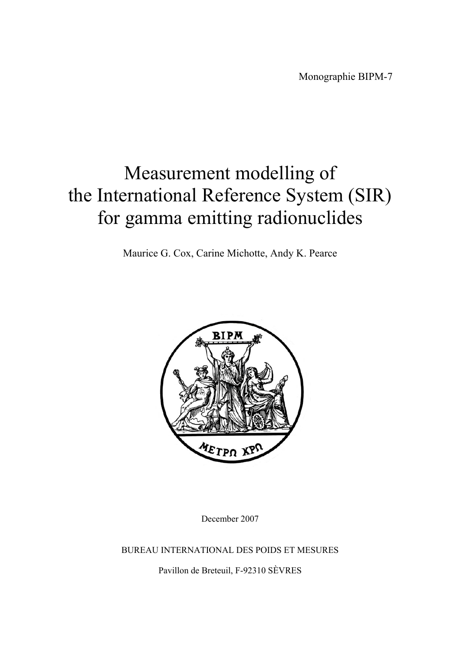Monographie BIPM-7

# Measurement modelling of the International Reference System (SIR) for gamma emitting radionuclides

Maurice G. Cox, Carine Michotte, Andy K. Pearce



December 2007

BUREAU INTERNATIONAL DES POIDS ET MESURES

Pavillon de Breteuil, F-92310 SÈVRES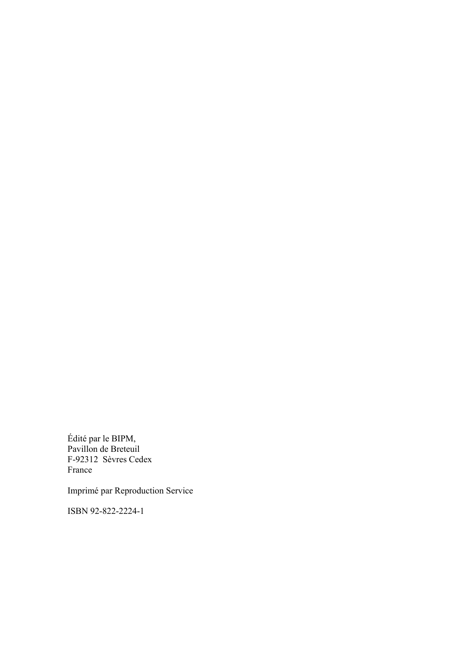Édité par le BIPM, Pavillon de Breteuil F-92312 Sèvres Cedex France

Imprimé par Reproduction Service

ISBN 92-822-2224-1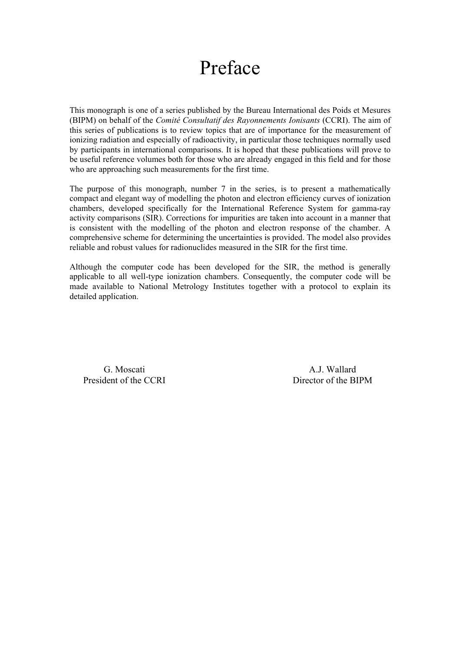# Preface

This monograph is one of a series published by the Bureau International des Poids et Mesures (BIPM) on behalf of the *Comité Consultatif des Rayonnements Ionisants* (CCRI). The aim of this series of publications is to review topics that are of importance for the measurement of ionizing radiation and especially of radioactivity, in particular those techniques normally used by participants in international comparisons. It is hoped that these publications will prove to be useful reference volumes both for those who are already engaged in this field and for those who are approaching such measurements for the first time.

The purpose of this monograph, number 7 in the series, is to present a mathematically compact and elegant way of modelling the photon and electron efficiency curves of ionization chambers, developed specifically for the International Reference System for gamma-ray activity comparisons (SIR). Corrections for impurities are taken into account in a manner that is consistent with the modelling of the photon and electron response of the chamber. A comprehensive scheme for determining the uncertainties is provided. The model also provides reliable and robust values for radionuclides measured in the SIR for the first time.

Although the computer code has been developed for the SIR, the method is generally applicable to all well-type ionization chambers. Consequently, the computer code will be made available to National Metrology Institutes together with a protocol to explain its detailed application.

G. Moscati A.J. Wallard President of the CCRI Director of the BIPM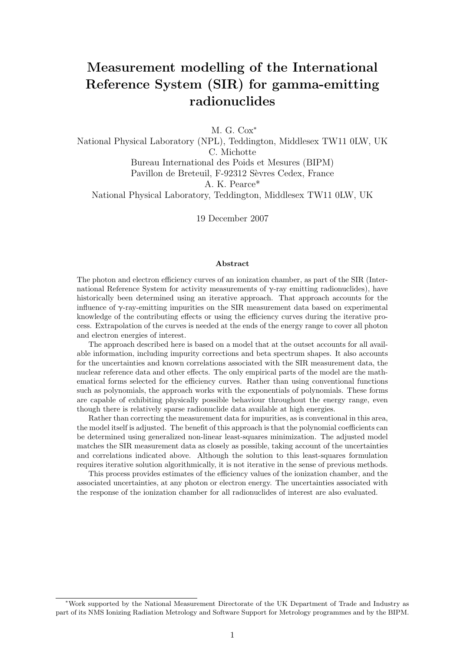# Measurement modelling of the International Reference System (SIR) for gamma-emitting radionuclides

M. G. Cox<sup>\*</sup>

National Physical Laboratory (NPL), Teddington, Middlesex TW11 0LW, UK C. Michotte Bureau International des Poids et Mesures (BIPM) Pavillon de Breteuil, F-92312 Sèvres Cedex, France A. K. Pearce\* National Physical Laboratory, Teddington, Middlesex TW11 0LW, UK

19 December 2007

#### Abstract

The photon and electron efficiency curves of an ionization chamber, as part of the SIR (International Reference System for activity measurements of  $γ$ -ray emitting radionuclides), have historically been determined using an iterative approach. That approach accounts for the influence of  $\gamma$ -ray-emitting impurities on the SIR measurement data based on experimental knowledge of the contributing effects or using the efficiency curves during the iterative process. Extrapolation of the curves is needed at the ends of the energy range to cover all photon and electron energies of interest.

The approach described here is based on a model that at the outset accounts for all available information, including impurity corrections and beta spectrum shapes. It also accounts for the uncertainties and known correlations associated with the SIR measurement data, the nuclear reference data and other effects. The only empirical parts of the model are the mathematical forms selected for the efficiency curves. Rather than using conventional functions such as polynomials, the approach works with the exponentials of polynomials. These forms are capable of exhibiting physically possible behaviour throughout the energy range, even though there is relatively sparse radionuclide data available at high energies.

Rather than correcting the measurement data for impurities, as is conventional in this area, the model itself is adjusted. The benefit of this approach is that the polynomial coefficients can be determined using generalized non-linear least-squares minimization. The adjusted model matches the SIR measurement data as closely as possible, taking account of the uncertainties and correlations indicated above. Although the solution to this least-squares formulation requires iterative solution algorithmically, it is not iterative in the sense of previous methods.

This process provides estimates of the efficiency values of the ionization chamber, and the associated uncertainties, at any photon or electron energy. The uncertainties associated with the response of the ionization chamber for all radionuclides of interest are also evaluated.

<sup>∗</sup>Work supported by the National Measurement Directorate of the UK Department of Trade and Industry as part of its NMS Ionizing Radiation Metrology and Software Support for Metrology programmes and by the BIPM.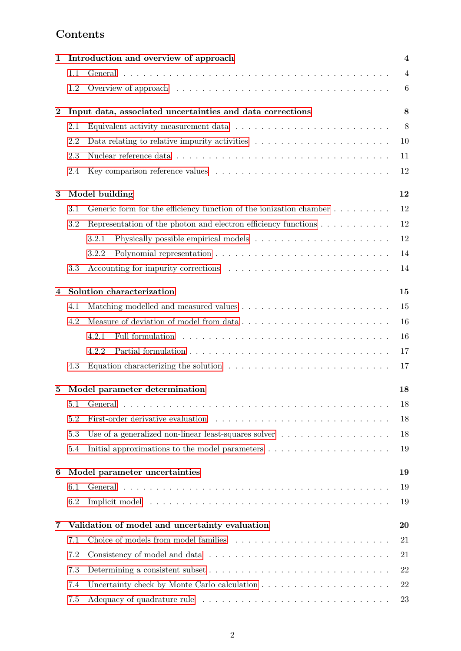# Contents

| 1        |         | Introduction and overview of approach                                                              |                |  |  |  |
|----------|---------|----------------------------------------------------------------------------------------------------|----------------|--|--|--|
|          | 1.1     |                                                                                                    | $\overline{4}$ |  |  |  |
|          | 1.2     |                                                                                                    | 6              |  |  |  |
| $\bf{2}$ |         | Input data, associated uncertainties and data corrections                                          |                |  |  |  |
|          | 2.1     |                                                                                                    | 8              |  |  |  |
|          | 2.2     |                                                                                                    | 10             |  |  |  |
|          | 2.3     |                                                                                                    | 11             |  |  |  |
|          | 2.4     |                                                                                                    | 12             |  |  |  |
| $\bf{3}$ |         | Model building                                                                                     | 12             |  |  |  |
|          | $3.1\,$ | Generic form for the efficiency function of the ionization chamber                                 | 12             |  |  |  |
|          | 3.2     | Representation of the photon and electron efficiency functions                                     | 12             |  |  |  |
|          |         | 3.2.1                                                                                              | 12             |  |  |  |
|          |         | 3.2.2                                                                                              | 14             |  |  |  |
|          | 3.3     |                                                                                                    | 14             |  |  |  |
| 4        |         | Solution characterization                                                                          | 15             |  |  |  |
|          | 4.1     |                                                                                                    | 15             |  |  |  |
|          | 4.2     | Measure of deviation of model from data                                                            | 16             |  |  |  |
|          |         | 4.2.1                                                                                              | 16             |  |  |  |
|          |         | 4.2.2                                                                                              | 17             |  |  |  |
|          | 4.3     | Equation characterizing the solution $\dots \dots \dots \dots \dots \dots \dots \dots \dots \dots$ | 17             |  |  |  |
| 5        |         | Model parameter determination                                                                      |                |  |  |  |
|          | 5.1     |                                                                                                    | 18             |  |  |  |
|          | 5.2     |                                                                                                    | 18             |  |  |  |
|          | 5.3     | Use of a generalized non-linear least-squares solver $\ldots \ldots \ldots \ldots \ldots \ldots$   | 18             |  |  |  |
|          | 5.4     |                                                                                                    | 19             |  |  |  |
| 6        |         | Model parameter uncertainties<br>19                                                                |                |  |  |  |
|          | 6.1     |                                                                                                    | 19             |  |  |  |
|          | 6.2     |                                                                                                    | 19             |  |  |  |
| 7        |         | Validation of model and uncertainty evaluation                                                     |                |  |  |  |
|          | 7.1     |                                                                                                    | 21             |  |  |  |
|          | 7.2     |                                                                                                    | 21             |  |  |  |
|          | 7.3     |                                                                                                    | 22             |  |  |  |
|          | 7.4     |                                                                                                    | 22             |  |  |  |
|          | 7.5     |                                                                                                    | 23             |  |  |  |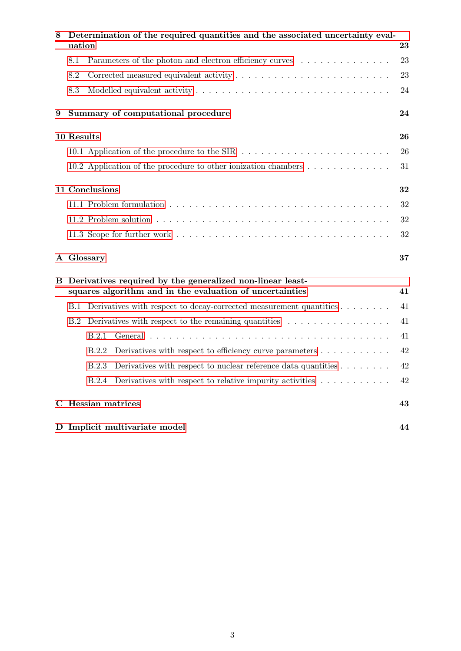| 8 |            | Determination of the required quantities and the associated uncertainty eval-<br>uation<br>23                               |    |  |
|---|------------|-----------------------------------------------------------------------------------------------------------------------------|----|--|
|   | 8.1        | Parameters of the photon and electron efficiency curves                                                                     | 23 |  |
|   | 8.2        |                                                                                                                             | 23 |  |
|   | 8.3        |                                                                                                                             | 24 |  |
| 9 |            | Summary of computational procedure                                                                                          | 24 |  |
|   | 10 Results |                                                                                                                             | 26 |  |
|   |            | 10.1 Application of the procedure to the SIR                                                                                | 26 |  |
|   |            | 10.2 Application of the procedure to other ionization chambers $\dots \dots \dots \dots$                                    | 31 |  |
|   |            | 11 Conclusions<br>32                                                                                                        |    |  |
|   |            |                                                                                                                             | 32 |  |
|   |            |                                                                                                                             | 32 |  |
|   |            |                                                                                                                             | 32 |  |
|   |            | A Glossary                                                                                                                  | 37 |  |
| в |            | Derivatives required by the generalized non-linear least-<br>squares algorithm and in the evaluation of uncertainties<br>41 |    |  |
|   | <b>B.1</b> | Derivatives with respect to decay-corrected measurement quantities                                                          | 41 |  |
|   | B.2        | Derivatives with respect to the remaining quantities $\dots \dots \dots \dots \dots$                                        | 41 |  |
|   |            | B.2.1                                                                                                                       | 41 |  |
|   |            | B.2.2<br>Derivatives with respect to efficiency curve parameters $\dots \dots \dots$                                        | 42 |  |
|   |            | Derivatives with respect to nuclear reference data quantities $\dots \dots$<br>B.2.3                                        | 42 |  |
|   |            | Derivatives with respect to relative impurity activities $\ldots \ldots \ldots$<br><b>B.2.4</b>                             | 42 |  |
|   |            | C Hessian matrices                                                                                                          | 43 |  |
|   |            | D Implicit multivariate model                                                                                               | 44 |  |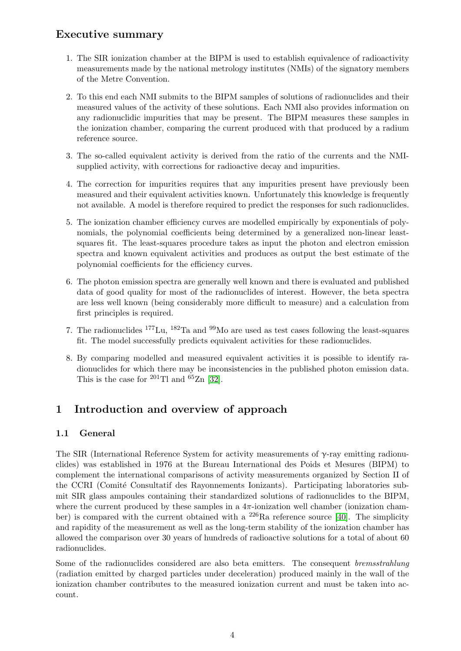# Executive summary

- 1. The SIR ionization chamber at the BIPM is used to establish equivalence of radioactivity measurements made by the national metrology institutes (NMIs) of the signatory members of the Metre Convention.
- 2. To this end each NMI submits to the BIPM samples of solutions of radionuclides and their measured values of the activity of these solutions. Each NMI also provides information on any radionuclidic impurities that may be present. The BIPM measures these samples in the ionization chamber, comparing the current produced with that produced by a radium reference source.
- 3. The so-called equivalent activity is derived from the ratio of the currents and the NMIsupplied activity, with corrections for radioactive decay and impurities.
- 4. The correction for impurities requires that any impurities present have previously been measured and their equivalent activities known. Unfortunately this knowledge is frequently not available. A model is therefore required to predict the responses for such radionuclides.
- 5. The ionization chamber efficiency curves are modelled empirically by exponentials of polynomials, the polynomial coefficients being determined by a generalized non-linear leastsquares fit. The least-squares procedure takes as input the photon and electron emission spectra and known equivalent activities and produces as output the best estimate of the polynomial coefficients for the efficiency curves.
- 6. The photon emission spectra are generally well known and there is evaluated and published data of good quality for most of the radionuclides of interest. However, the beta spectra are less well known (being considerably more difficult to measure) and a calculation from first principles is required.
- 7. The radionuclides  $177$ Lu,  $182$ Ta and  $99$ Mo are used as test cases following the least-squares fit. The model successfully predicts equivalent activities for these radionuclides.
- 8. By comparing modelled and measured equivalent activities it is possible to identify radionuclides for which there may be inconsistencies in the published photon emission data. This is the case for  $^{201}$ Tl and  $^{65}$ Zn [\[32\]](#page-38-0).

# <span id="page-7-0"></span>1 Introduction and overview of approach

# <span id="page-7-1"></span>1.1 General

The SIR (International Reference System for activity measurements of  $\gamma$ -ray emitting radionuclides) was established in 1976 at the Bureau International des Poids et Mesures (BIPM) to complement the international comparisons of activity measurements organized by Section II of the CCRI (Comité Consultatif des Rayonnements Ionizants). Participating laboratories submit SIR glass ampoules containing their standardized solutions of radionuclides to the BIPM, where the current produced by these samples in a  $4\pi$ -ionization well chamber (ionization chamber) is compared with the current obtained with a  $^{226}$ Ra reference source [\[40\]](#page-39-0). The simplicity and rapidity of the measurement as well as the long-term stability of the ionization chamber has allowed the comparison over 30 years of hundreds of radioactive solutions for a total of about 60 radionuclides.

Some of the radionuclides considered are also beta emitters. The consequent *bremsstrahlung* (radiation emitted by charged particles under deceleration) produced mainly in the wall of the ionization chamber contributes to the measured ionization current and must be taken into account.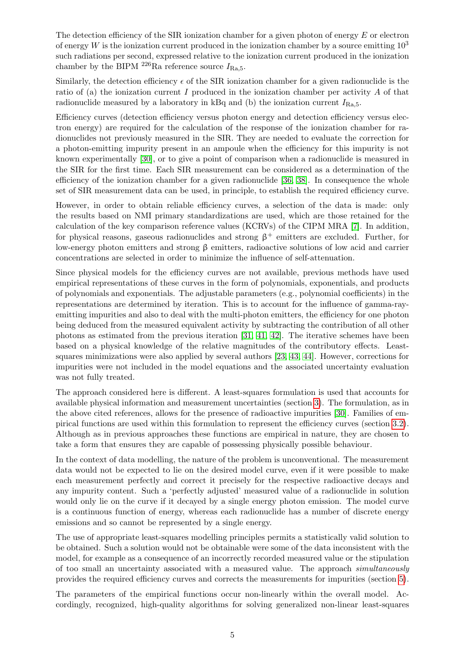The detection efficiency of the SIR ionization chamber for a given photon of energy  $E$  or electron of energy W is the ionization current produced in the ionization chamber by a source emitting  $10^3$ such radiations per second, expressed relative to the ionization current produced in the ionization chamber by the BIPM <sup>226</sup>Ra reference source  $I_{\text{Ra},5}$ .

Similarly, the detection efficiency  $\epsilon$  of the SIR ionization chamber for a given radionuclide is the ratio of (a) the ionization current I produced in the ionization chamber per activity  $A$  of that radionuclide measured by a laboratory in kBq and (b) the ionization current  $I_{\text{Ra},5}$ .

Efficiency curves (detection efficiency versus photon energy and detection efficiency versus electron energy) are required for the calculation of the response of the ionization chamber for radionuclides not previously measured in the SIR. They are needed to evaluate the correction for a photon-emitting impurity present in an ampoule when the efficiency for this impurity is not known experimentally [\[30\]](#page-38-1), or to give a point of comparison when a radionuclide is measured in the SIR for the first time. Each SIR measurement can be considered as a determination of the efficiency of the ionization chamber for a given radionuclide [\[36,](#page-38-2) [38\]](#page-39-1). In consequence the whole set of SIR measurement data can be used, in principle, to establish the required efficiency curve.

However, in order to obtain reliable efficiency curves, a selection of the data is made: only the results based on NMI primary standardizations are used, which are those retained for the calculation of the key comparison reference values (KCRVs) of the CIPM MRA [\[7\]](#page-37-0). In addition, for physical reasons, gaseous radionuclides and strong  $\beta^+$  emitters are excluded. Further, for low-energy photon emitters and strong β emitters, radioactive solutions of low acid and carrier concentrations are selected in order to minimize the influence of self-attenuation.

Since physical models for the efficiency curves are not available, previous methods have used empirical representations of these curves in the form of polynomials, exponentials, and products of polynomials and exponentials. The adjustable parameters (e.g., polynomial coefficients) in the representations are determined by iteration. This is to account for the influence of gamma-rayemitting impurities and also to deal with the multi-photon emitters, the efficiency for one photon being deduced from the measured equivalent activity by subtracting the contribution of all other photons as estimated from the previous iteration [\[31,](#page-38-3) [41,](#page-39-2) [42\]](#page-39-3). The iterative schemes have been based on a physical knowledge of the relative magnitudes of the contributory effects. Leastsquares minimizations were also applied by several authors [\[23,](#page-38-4) [43,](#page-39-4) [44\]](#page-39-5). However, corrections for impurities were not included in the model equations and the associated uncertainty evaluation was not fully treated.

The approach considered here is different. A least-squares formulation is used that accounts for available physical information and measurement uncertainties (section [3\)](#page-15-1). The formulation, as in the above cited references, allows for the presence of radioactive impurities [\[30\]](#page-38-1). Families of empirical functions are used within this formulation to represent the efficiency curves (section [3.2\)](#page-15-3). Although as in previous approaches these functions are empirical in nature, they are chosen to take a form that ensures they are capable of possessing physically possible behaviour.

In the context of data modelling, the nature of the problem is unconventional. The measurement data would not be expected to lie on the desired model curve, even if it were possible to make each measurement perfectly and correct it precisely for the respective radioactive decays and any impurity content. Such a 'perfectly adjusted' measured value of a radionuclide in solution would only lie on the curve if it decayed by a single energy photon emission. The model curve is a continuous function of energy, whereas each radionuclide has a number of discrete energy emissions and so cannot be represented by a single energy.

The use of appropriate least-squares modelling principles permits a statistically valid solution to be obtained. Such a solution would not be obtainable were some of the data inconsistent with the model, for example as a consequence of an incorrectly recorded measured value or the stipulation of too small an uncertainty associated with a measured value. The approach simultaneously provides the required efficiency curves and corrects the measurements for impurities (section [5\)](#page-21-0).

The parameters of the empirical functions occur non-linearly within the overall model. Accordingly, recognized, high-quality algorithms for solving generalized non-linear least-squares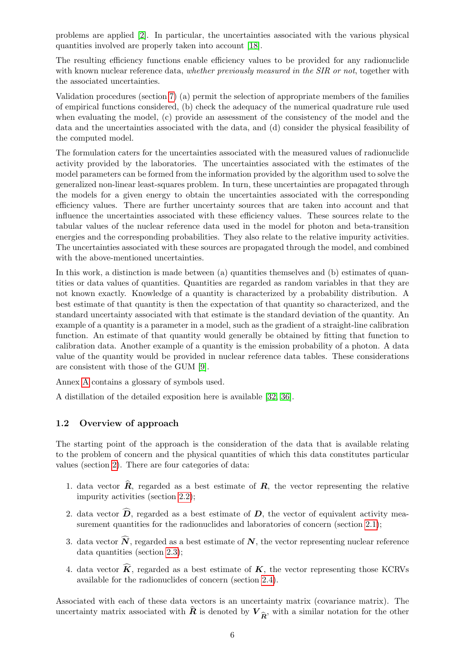problems are applied [\[2\]](#page-37-1). In particular, the uncertainties associated with the various physical quantities involved are properly taken into account [\[18\]](#page-37-2).

The resulting efficiency functions enable efficiency values to be provided for any radionuclide with known nuclear reference data, whether previously measured in the SIR or not, together with the associated uncertainties.

Validation procedures (section [7\)](#page-23-0) (a) permit the selection of appropriate members of the families of empirical functions considered, (b) check the adequacy of the numerical quadrature rule used when evaluating the model, (c) provide an assessment of the consistency of the model and the data and the uncertainties associated with the data, and (d) consider the physical feasibility of the computed model.

The formulation caters for the uncertainties associated with the measured values of radionuclide activity provided by the laboratories. The uncertainties associated with the estimates of the model parameters can be formed from the information provided by the algorithm used to solve the generalized non-linear least-squares problem. In turn, these uncertainties are propagated through the models for a given energy to obtain the uncertainties associated with the corresponding efficiency values. There are further uncertainty sources that are taken into account and that influence the uncertainties associated with these efficiency values. These sources relate to the tabular values of the nuclear reference data used in the model for photon and beta-transition energies and the corresponding probabilities. They also relate to the relative impurity activities. The uncertainties associated with these sources are propagated through the model, and combined with the above-mentioned uncertainties.

In this work, a distinction is made between (a) quantities themselves and (b) estimates of quantities or data values of quantities. Quantities are regarded as random variables in that they are not known exactly. Knowledge of a quantity is characterized by a probability distribution. A best estimate of that quantity is then the expectation of that quantity so characterized, and the standard uncertainty associated with that estimate is the standard deviation of the quantity. An example of a quantity is a parameter in a model, such as the gradient of a straight-line calibration function. An estimate of that quantity would generally be obtained by fitting that function to calibration data. Another example of a quantity is the emission probability of a photon. A data value of the quantity would be provided in nuclear reference data tables. These considerations are consistent with those of the GUM [\[9\]](#page-37-3).

Annex [A](#page-40-0) contains a glossary of symbols used.

A distillation of the detailed exposition here is available [\[32,](#page-38-0) [36\]](#page-38-2).

# <span id="page-9-0"></span>1.2 Overview of approach

The starting point of the approach is the consideration of the data that is available relating to the problem of concern and the physical quantities of which this data constitutes particular values (section [2\)](#page-11-0). There are four categories of data:

- <span id="page-9-1"></span>1. data vector  $\hat{\mathbf{R}}$ , regarded as a best estimate of  $\mathbf{R}$ , the vector representing the relative impurity activities (section [2.2\)](#page-13-0);
- 2. data vector  $\widehat{\mathbf{D}}$ , regarded as a best estimate of  $\mathbf{D}$ , the vector of equivalent activity mea-surement quantities for the radionuclides and laboratories of concern (section [2.1\)](#page-11-1);
- 3. data vector  $\widehat{N}$ , regarded as a best estimate of  $N$ , the vector representing nuclear reference data quantities (section [2.3\)](#page-14-0);
- <span id="page-9-2"></span>4. data vector  $\widehat{K}$ , regarded as a best estimate of  $K$ , the vector representing those KCRVs available for the radionuclides of concern (section [2.4\)](#page-15-0).

Associated with each of these data vectors is an uncertainty matrix (covariance matrix). The uncertainty matrix associated with **R** is denoted by  $V_{\hat{R}}$ , with a similar notation for the other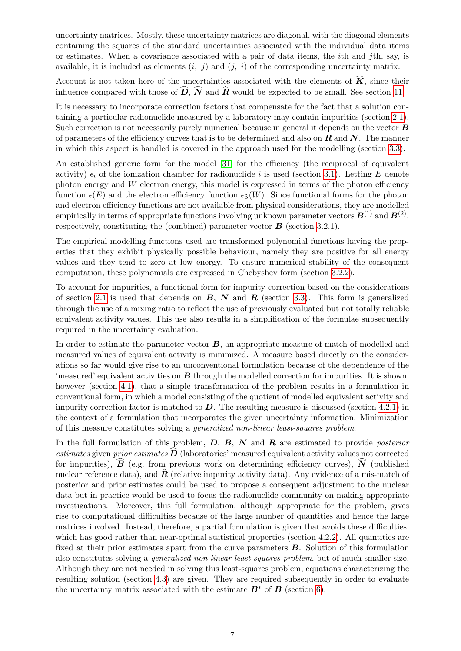uncertainty matrices. Mostly, these uncertainty matrices are diagonal, with the diagonal elements containing the squares of the standard uncertainties associated with the individual data items or estimates. When a covariance associated with a pair of data items, the ith and jth, say, is available, it is included as elements  $(i, j)$  and  $(j, i)$  of the corresponding uncertainty matrix.

Account is not taken here of the uncertainties associated with the elements of  $\tilde{K}$ , since their influence compared with those of  $\widehat{D}$ ,  $\widehat{N}$  and  $\widehat{R}$  would be expected to be small. See section [11.](#page-35-0)

It is necessary to incorporate correction factors that compensate for the fact that a solution containing a particular radionuclide measured by a laboratory may contain impurities (section [2.1\)](#page-11-1). Such correction is not necessarily purely numerical because in general it depends on the vector  $\boldsymbol{B}$ of parameters of the efficiency curves that is to be determined and also on  $\bf{R}$  and  $\bf{N}$ . The manner in which this aspect is handled is covered in the approach used for the modelling (section [3.3\)](#page-17-1).

An established generic form for the model [\[31\]](#page-38-3) for the efficiency (the reciprocal of equivalent activity)  $\epsilon_i$  of the ionization chamber for radionuclide i is used (section [3.1\)](#page-15-2). Letting E denote photon energy and  $W$  electron energy, this model is expressed in terms of the photon efficiency function  $\epsilon(E)$  and the electron efficiency function  $\epsilon_6(W)$ . Since functional forms for the photon and electron efficiency functions are not available from physical considerations, they are modelled empirically in terms of appropriate functions involving unknown parameter vectors  $\boldsymbol{B}^{(1)}$  and  $\boldsymbol{B}^{(2)}$ , respectively, constituting the (combined) parameter vector  $\bf{B}$  (section [3.2.1\)](#page-15-4).

The empirical modelling functions used are transformed polynomial functions having the properties that they exhibit physically possible behaviour, namely they are positive for all energy values and they tend to zero at low energy. To ensure numerical stability of the consequent computation, these polynomials are expressed in Chebyshev form (section [3.2.2\)](#page-17-0).

To account for impurities, a functional form for impurity correction based on the considerations of section [2.1](#page-11-1) is used that depends on  $\bf{B}$ ,  $\bf{N}$  and  $\bf{R}$  (section [3.3\)](#page-17-1). This form is generalized through the use of a mixing ratio to reflect the use of previously evaluated but not totally reliable equivalent activity values. This use also results in a simplification of the formulae subsequently required in the uncertainty evaluation.

In order to estimate the parameter vector  $B$ , an appropriate measure of match of modelled and measured values of equivalent activity is minimized. A measure based directly on the considerations so far would give rise to an unconventional formulation because of the dependence of the 'measured' equivalent activities on  $B$  through the modelled correction for impurities. It is shown, however (section [4.1\)](#page-18-1), that a simple transformation of the problem results in a formulation in conventional form, in which a model consisting of the quotient of modelled equivalent activity and impurity correction factor is matched to  $D$ . The resulting measure is discussed (section [4.2.1\)](#page-19-1) in the context of a formulation that incorporates the given uncertainty information. Minimization of this measure constitutes solving a generalized non-linear least-squares problem.

In the full formulation of this problem,  $D, B, N$  and  $R$  are estimated to provide *posterior* estimates given prior estimates  $\overline{D}$  (laboratories' measured equivalent activity values not corrected for impurities),  $\vec{B}$  (e.g. from previous work on determining efficiency curves),  $\vec{N}$  (published nuclear reference data), and  $\hat{\mathbf{R}}$  (relative impurity activity data). Any evidence of a mis-match of posterior and prior estimates could be used to propose a consequent adjustment to the nuclear data but in practice would be used to focus the radionuclide community on making appropriate investigations. Moreover, this full formulation, although appropriate for the problem, gives rise to computational difficulties because of the large number of quantities and hence the large matrices involved. Instead, therefore, a partial formulation is given that avoids these difficulties, which has good rather than near-optimal statistical properties (section [4.2.2\)](#page-20-0). All quantities are fixed at their prior estimates apart from the curve parameters  $\bm{B}$ . Solution of this formulation also constitutes solving a generalized non-linear least-squares problem, but of much smaller size. Although they are not needed in solving this least-squares problem, equations characterizing the resulting solution (section [4.3\)](#page-20-1) are given. They are required subsequently in order to evaluate the uncertainty matrix associated with the estimate  $B^*$  of  $B$  (section [6\)](#page-22-1).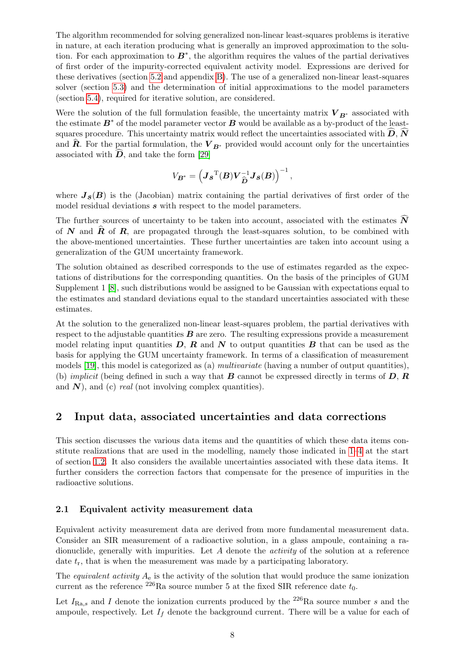The algorithm recommended for solving generalized non-linear least-squares problems is iterative in nature, at each iteration producing what is generally an improved approximation to the solution. For each approximation to  $B^*$ , the algorithm requires the values of the partial derivatives of first order of the impurity-corrected equivalent activity model. Expressions are derived for these derivatives (section [5.2](#page-21-2) and appendix [B\)](#page-44-0). The use of a generalized non-linear least-squares solver (section [5.3\)](#page-21-3) and the determination of initial approximations to the model parameters (section [5.4\)](#page-22-0), required for iterative solution, are considered.

Were the solution of the full formulation feasible, the uncertainty matrix  $V_{B^*}$  associated with the estimate  $B^*$  of the model parameter vector  $B$  would be available as a by-product of the leastsquares procedure. This uncertainty matrix would reflect the uncertainties associated with  $\overline{D}$ ,  $\overline{N}$ and  $\hat{R}$ . For the partial formulation, the  $V_{B^*}$  provided would account only for the uncertainties associated with  $D$ , and take the form [\[29\]](#page-38-5)

$$
V_{\boldsymbol{B}^*} = \left(\boldsymbol{J}_{\boldsymbol{\mathcal{S}}}^{\mathrm{T}}(\boldsymbol{B})\boldsymbol{V}_{\widehat{\boldsymbol{D}}}^{-1}\boldsymbol{J}_{\boldsymbol{\mathcal{S}}}(\boldsymbol{B})\right)^{-1},
$$

where  $J_s(B)$  is the (Jacobian) matrix containing the partial derivatives of first order of the model residual deviations  $s$  with respect to the model parameters.

The further sources of uncertainty to be taken into account, associated with the estimates  $\widehat{N}$ of  $N$  and  $R$  of  $R$ , are propagated through the least-squares solution, to be combined with the above-mentioned uncertainties. These further uncertainties are taken into account using a generalization of the GUM uncertainty framework.

The solution obtained as described corresponds to the use of estimates regarded as the expectations of distributions for the corresponding quantities. On the basis of the principles of GUM Supplement 1 [\[8\]](#page-37-4), such distributions would be assigned to be Gaussian with expectations equal to the estimates and standard deviations equal to the standard uncertainties associated with these estimates.

At the solution to the generalized non-linear least-squares problem, the partial derivatives with respect to the adjustable quantities  $\bf{B}$  are zero. The resulting expressions provide a measurement model relating input quantities  $D, R$  and  $N$  to output quantities  $B$  that can be used as the basis for applying the GUM uncertainty framework. In terms of a classification of measurement models [\[19\]](#page-38-6), this model is categorized as (a) multivariate (having a number of output quantities), (b) *implicit* (being defined in such a way that **B** cannot be expressed directly in terms of **D**, **R** and  $N$ ), and (c) *real* (not involving complex quantities).

# <span id="page-11-0"></span>2 Input data, associated uncertainties and data corrections

This section discusses the various data items and the quantities of which these data items constitute realizations that are used in the modelling, namely those indicated in [1](#page-9-1)[–4](#page-9-2) at the start of section [1.2.](#page-9-0) It also considers the available uncertainties associated with these data items. It further considers the correction factors that compensate for the presence of impurities in the radioactive solutions.

## <span id="page-11-1"></span>2.1 Equivalent activity measurement data

Equivalent activity measurement data are derived from more fundamental measurement data. Consider an SIR measurement of a radioactive solution, in a glass ampoule, containing a radionuclide, generally with impurities. Let  $A$  denote the *activity* of the solution at a reference date  $t_r$ , that is when the measurement was made by a participating laboratory.

The *equivalent activity*  $A_e$  is the activity of the solution that would produce the same ionization current as the reference <sup>226</sup>Ra source number 5 at the fixed SIR reference date  $t_0$ .

Let  $I_{\text{Ra},s}$  and I denote the ionization currents produced by the <sup>226</sup>Ra source number s and the ampoule, respectively. Let  $I_f$  denote the background current. There will be a value for each of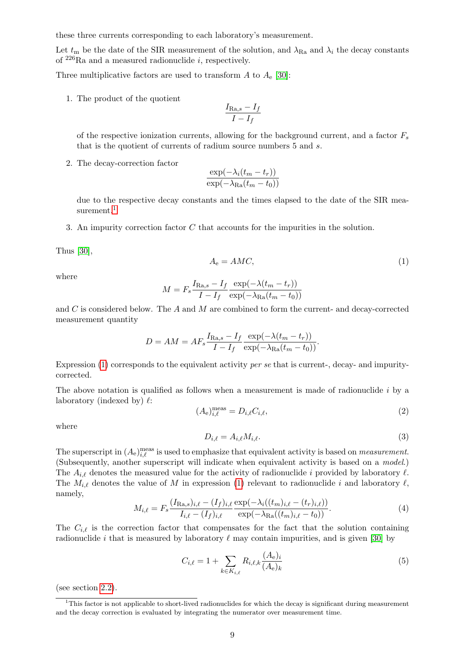these three currents corresponding to each laboratory's measurement.

Let  $t_m$  be the date of the SIR measurement of the solution, and  $\lambda_{\text{Ra}}$  and  $\lambda_i$  the decay constants of  $^{226}$ Ra and a measured radionuclide *i*, respectively.

Three multiplicative factors are used to transform A to  $A_{\rm e}$  [\[30\]](#page-38-1):

1. The product of the quotient

$$
\frac{I_{\text{Ra},s} - I_f}{I - I_f}
$$

of the respective ionization currents, allowing for the background current, and a factor  $F_s$ that is the quotient of currents of radium source numbers 5 and s.

2. The decay-correction factor

$$
\frac{\exp(-\lambda_i(t_m - t_r))}{\exp(-\lambda_{\text{Ra}}(t_m - t_0))}
$$

due to the respective decay constants and the times elapsed to the date of the SIR mea-surement.<sup>[1](#page-12-0)</sup>

3. An impurity correction factor C that accounts for the impurities in the solution.

Thus [\[30\]](#page-38-1),

<span id="page-12-1"></span>
$$
A_{\rm e} = AMC,\tag{1}
$$

where

$$
M = F_s \frac{I_{\text{Ra},s} - I_f}{I - I_f} \frac{\exp(-\lambda(t_m - t_r))}{\exp(-\lambda_{\text{Ra}}(t_m - t_0))}
$$

and  $C$  is considered below. The  $A$  and  $M$  are combined to form the current- and decay-corrected measurement quantity

$$
D = AM = AF_s \frac{I_{\text{Ra},s} - I_f}{I - I_f} \frac{\exp(-\lambda(t_m - t_r))}{\exp(-\lambda_{\text{Ra}}(t_m - t_0))}.
$$

Expression [\(1\)](#page-12-1) corresponds to the equivalent activity per se that is current-, decay- and impuritycorrected.

The above notation is qualified as follows when a measurement is made of radionuclide  $i$  by a laboratory (indexed by)  $\ell$ :

<span id="page-12-5"></span>
$$
(A_{\rm e})_{i,\ell}^{\rm meas} = D_{i,\ell} C_{i,\ell},\tag{2}
$$

where

<span id="page-12-2"></span>
$$
D_{i,\ell} = A_{i,\ell} M_{i,\ell}.\tag{3}
$$

The superscript in  $(A_e)_{i,\ell}^{\text{meas}}$  is used to emphasize that equivalent activity is based on *measurement*. (Subsequently, another superscript will indicate when equivalent activity is based on a model.) The  $A_{i,\ell}$  denotes the measured value for the activity of radionuclide i provided by laboratory  $\ell$ . The  $M_{i,\ell}$  denotes the value of M in expression [\(1\)](#page-12-1) relevant to radionuclide i and laboratory  $\ell$ , namely,

<span id="page-12-3"></span>
$$
M_{i,\ell} = F_s \frac{(I_{\text{Ra},s})_{i,\ell} - (I_f)_{i,\ell}}{I_{i,\ell} - (I_f)_{i,\ell}} \frac{\exp(-\lambda_i((t_m)_{i,\ell} - (t_r)_{i,\ell}))}{\exp(-\lambda_{\text{Ra}}((t_m)_{i,\ell} - t_0))}.
$$
(4)

The  $C_{i,\ell}$  is the correction factor that compensates for the fact that the solution containing radionuclide i that is measured by laboratory  $\ell$  may contain impurities, and is given [\[30\]](#page-38-1) by

<span id="page-12-4"></span>
$$
C_{i,\ell} = 1 + \sum_{k \in K_{i,\ell}} R_{i,\ell,k} \frac{(A_e)_i}{(A_e)_k} \tag{5}
$$

(see section [2.2\)](#page-13-0).

<span id="page-12-0"></span><sup>&</sup>lt;sup>1</sup>This factor is not applicable to short-lived radionuclides for which the decay is significant during measurement and the decay correction is evaluated by integrating the numerator over measurement time.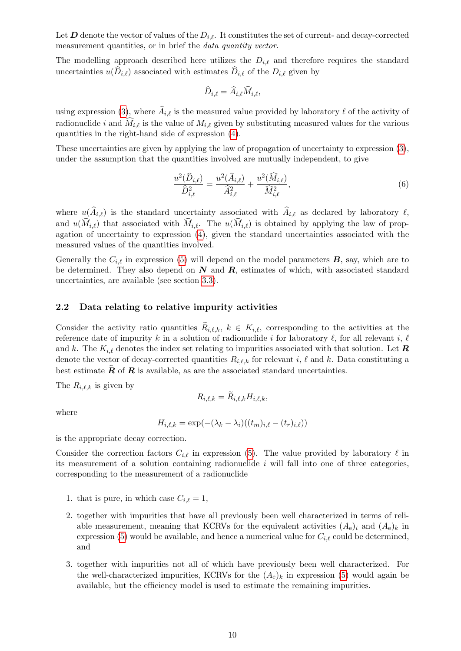Let D denote the vector of values of the  $D_{i,\ell}$ . It constitutes the set of current- and decay-corrected measurement quantities, or in brief the data quantity vector.

The modelling approach described here utilizes the  $D_{i,\ell}$  and therefore requires the standard uncertainties  $u(D_{i,\ell})$  associated with estimates  $D_{i,\ell}$  of the  $D_{i,\ell}$  given by

$$
\widehat{D}_{i,\ell} = \widehat{A}_{i,\ell} \widehat{M}_{i,\ell},
$$

using expression [\(3\)](#page-12-2), where  $A_{i,\ell}$  is the measured value provided by laboratory  $\ell$  of the activity of radionuclide i and  $\widehat{M}_{i,\ell}$  is the value of  $M_{i,\ell}$  given by substituting measured values for the various quantities in the right-hand side of expression [\(4\)](#page-12-3).

These uncertainties are given by applying the law of propagation of uncertainty to expression [\(3\)](#page-12-2), under the assumption that the quantities involved are mutually independent, to give

$$
\frac{u^2(\widehat{D}_{i,\ell})}{\widehat{D}_{i,\ell}^2} = \frac{u^2(\widehat{A}_{i,\ell})}{\widehat{A}_{i,\ell}^2} + \frac{u^2(\widehat{M}_{i,\ell})}{\widehat{M}_{i,\ell}^2},\tag{6}
$$

where  $u(A_{i,\ell})$  is the standard uncertainty associated with  $A_{i,\ell}$  as declared by laboratory  $\ell$ , and  $u(\widehat{M}_{i,\ell})$  that associated with  $\widehat{M}_{i,\ell}$ . The  $u(\widehat{M}_{i,\ell})$  is obtained by applying the law of propagation of uncertainty to expression [\(4\)](#page-12-3), given the standard uncertainties associated with the measured values of the quantities involved.

Generally the  $C_{i,\ell}$  in expression [\(5\)](#page-12-4) will depend on the model parameters  $\mathbf{B}$ , say, which are to be determined. They also depend on  $N$  and  $R$ , estimates of which, with associated standard uncertainties, are available (see section [3.3\)](#page-17-1).

#### <span id="page-13-0"></span>2.2 Data relating to relative impurity activities

Consider the activity ratio quantities  $R_{i,\ell,k}, k \in K_{i,\ell}$ , corresponding to the activities at the reference date of impurity k in a solution of radionuclide i for laboratory  $\ell$ , for all relevant i,  $\ell$ and k. The  $K_{i,\ell}$  denotes the index set relating to impurities associated with that solution. Let  $\mathbf{R}$ denote the vector of decay-corrected quantities  $R_{i,\ell,k}$  for relevant i,  $\ell$  and k. Data constituting a best estimate  $\hat{R}$  of  $R$  is available, as are the associated standard uncertainties.

The  $R_{i,\ell,k}$  is given by

$$
R_{i,\ell,k} = R_{i,\ell,k} H_{i,\ell,k},
$$

where

$$
H_{i,\ell,k} = \exp(-(\lambda_k - \lambda_i)((t_m)_{i,\ell} - (t_r)_{i,\ell}))
$$

is the appropriate decay correction.

Consider the correction factors  $C_{i,\ell}$  in expression [\(5\)](#page-12-4). The value provided by laboratory  $\ell$  in its measurement of a solution containing radionuclide  $i$  will fall into one of three categories, corresponding to the measurement of a radionuclide

- 1. that is pure, in which case  $C_{i,\ell} = 1$ ,
- 2. together with impurities that have all previously been well characterized in terms of reliable measurement, meaning that KCRVs for the equivalent activities  $(A_e)_i$  and  $(A_e)_k$  in expression [\(5\)](#page-12-4) would be available, and hence a numerical value for  $C_{i,\ell}$  could be determined, and
- 3. together with impurities not all of which have previously been well characterized. For the well-characterized impurities, KCRVs for the  $(A_e)_k$  in expression [\(5\)](#page-12-4) would again be available, but the efficiency model is used to estimate the remaining impurities.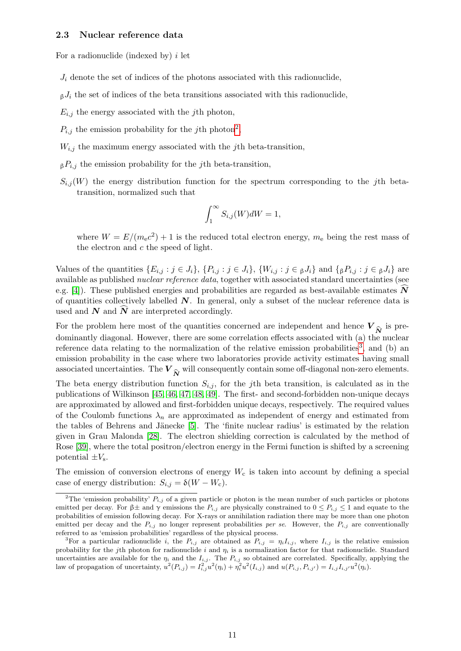#### <span id="page-14-0"></span>2.3 Nuclear reference data

For a radionuclide (indexed by)  $i$  let

 $J_i$  denote the set of indices of the photons associated with this radionuclide,

 $\beta J_i$  the set of indices of the beta transitions associated with this radionuclide,

 $E_{i,j}$  the energy associated with the *j*th photon,

- $P_{i,j}$  the emission probability for the jth photon<sup>[2](#page-14-1)</sup>,
- $W_{i,j}$  the maximum energy associated with the jth beta-transition,
- $\beta P_{i,j}$  the emission probability for the *j*th beta-transition,
- $S_{i,j}(W)$  the energy distribution function for the spectrum corresponding to the jth betatransition, normalized such that

$$
\int_{1}^{\infty} S_{i,j}(W)dW = 1,
$$

where  $W = E/(m_e c^2) + 1$  is the reduced total electron energy,  $m_e$  being the rest mass of the electron and  $c$  the speed of light.

Values of the quantities  $\{E_{i,j} : j \in J_i\}$ ,  $\{P_{i,j} : j \in J_i\}$ ,  $\{W_{i,j} : j \in J_i\}$  and  $\{B_iP_{i,j} : j \in J_i\}$  are available as published *nuclear reference data*, together with associated standard uncertainties (see e.g. [\[4\]](#page-37-5)). These published energies and probabilities are regarded as best-available estimates  $N$ of quantities collectively labelled  $N$ . In general, only a subset of the nuclear reference data is used and  $N$  and  $\widehat{N}$  are interpreted accordingly.

For the problem here most of the quantities concerned are independent and hence  $V_{\hat{N}}$  is pre-<br>dominantly diagonal. However, there are some correlation effects associated with (a) the nuclear dominantly diagonal. However, there are some correlation effects associated with (a) the nuclear reference data relating to the normalization of the relative emission probabilities<sup>[3](#page-14-2)</sup>, and (b) an emission probability in the case where two laboratories provide activity estimates having small associated uncertainties. The  $V_{\hat{N}}$  will consequently contain some off-diagonal non-zero elements.

The beta energy distribution function  $S_{i,j}$ , for the jth beta transition, is calculated as in the publications of Wilkinson [\[45,](#page-39-6) [46,](#page-39-7) [47,](#page-39-8) [48,](#page-39-9) [49\]](#page-39-10). The first- and second-forbidden non-unique decays are approximated by allowed and first-forbidden unique decays, respectively. The required values of the Coulomb functions  $\lambda_n$  are approximated as independent of energy and estimated from the tables of Behrens and Jänecke [\[5\]](#page-37-6). The 'finite nuclear radius' is estimated by the relation given in Grau Malonda [\[28\]](#page-38-7). The electron shielding correction is calculated by the method of Rose [\[39\]](#page-39-11), where the total positron/electron energy in the Fermi function is shifted by a screening potential  $\pm V_s$ .

The emission of conversion electrons of energy  $W_c$  is taken into account by defining a special case of energy distribution:  $S_{i,j} = \delta(W - W_c)$ .

<span id="page-14-1"></span><sup>&</sup>lt;sup>2</sup>The 'emission probability'  $P_{i,j}$  of a given particle or photon is the mean number of such particles or photons emitted per decay. For  $\beta \pm$  and  $\gamma$  emissions the  $P_{i,j}$  are physically constrained to  $0 \leq P_{i,j} \leq 1$  and equate to the probabilities of emission following decay. For X-rays or annihilation radiation there may be more than one photon emitted per decay and the  $P_{i,j}$  no longer represent probabilities per se. However, the  $P_{i,j}$  are conventionally referred to as 'emission probabilities' regardless of the physical process.

<span id="page-14-2"></span><sup>&</sup>lt;sup>3</sup>For a particular radionuclide i, the  $P_{i,j}$  are obtained as  $P_{i,j} = \eta_i I_{i,j}$ , where  $I_{i,j}$  is the relative emission probability for the jth photon for radionuclide i and  $\eta_i$  is a normalization factor for that radionuclide. Standard uncertainties are available for the  $\eta_i$  and the  $I_{i,j}$ . The  $P_{i,j}$  so obtained are correlated. Specifically, applying the law of propagation of uncertainty,  $u^2(P_{i,j}) = I_{i,j}^2 u^2(\eta_i) + \eta_i^2 u^2(I_{i,j})$  and  $u(P_{i,j}, P_{i,j'}) = I_{i,j} I_{i,j'} u^2(\eta_i)$ .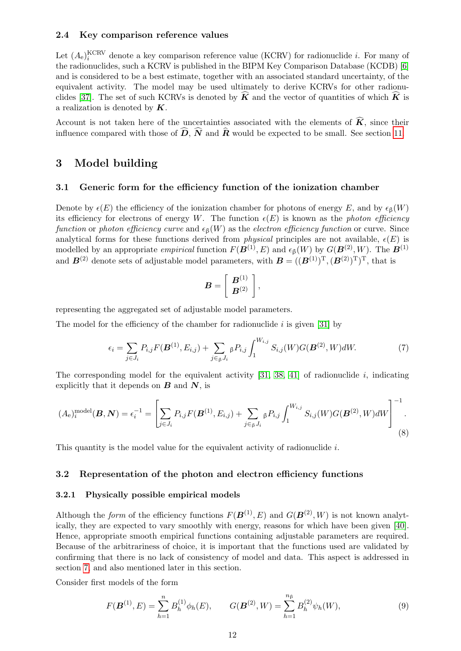### <span id="page-15-0"></span>2.4 Key comparison reference values

Let  $(A_e)^{KCRV}$  denote a key comparison reference value (KCRV) for radionuclide *i*. For many of the radionuclides, such a KCRV is published in the BIPM Key Comparison Database (KCDB) [\[6\]](#page-37-7) and is considered to be a best estimate, together with an associated standard uncertainty, of the equivalent activity. The model may be used ultimately to derive KCRVs for other radionu-clides [\[37\]](#page-38-8). The set of such KCRVs is denoted by  $\hat{K}$  and the vector of quantities of which  $\hat{K}$  is a realization is denoted by  $K$ .

Account is not taken here of the uncertainties associated with the elements of  $\widehat{K}$ , since their influence compared with those of  $\widehat{D}$ ,  $\widehat{N}$  and  $\widehat{R}$  would be expected to be small. See section [11.](#page-35-0)

# <span id="page-15-1"></span>3 Model building

#### <span id="page-15-2"></span>3.1 Generic form for the efficiency function of the ionization chamber

Denote by  $\epsilon(E)$  the efficiency of the ionization chamber for photons of energy E, and by  $\epsilon_6(W)$ its efficiency for electrons of energy W. The function  $\epsilon(E)$  is known as the photon efficiency function or photon efficiency curve and  $\epsilon_{\beta}(W)$  as the electron efficiency function or curve. Since analytical forms for these functions derived from *physical* principles are not available,  $\epsilon(E)$  is modelled by an appropriate *empirical* function  $F(\mathbf{B}^{(1)}, E)$  and  $\epsilon_{\beta}(W)$  by  $G(\mathbf{B}^{(2)}, W)$ . The  $\mathbf{B}^{(1)}$ and  $\mathbf{B}^{(2)}$  denote sets of adjustable model parameters, with  $\mathbf{B} = ((\mathbf{B}^{(1)})^{\mathrm{T}}, (\mathbf{B}^{(2)})^{\mathrm{T}})^{\mathrm{T}}$ , that is

$$
\boldsymbol{B} = \left[\begin{array}{c} \boldsymbol{B}^{(1)} \\ \boldsymbol{B}^{(2)} \end{array}\right],
$$

representing the aggregated set of adjustable model parameters.

The model for the efficiency of the chamber for radionuclide  $i$  is given [\[31\]](#page-38-3) by

$$
\epsilon_i = \sum_{j \in J_i} P_{i,j} F(\mathbf{B}^{(1)}, E_{i,j}) + \sum_{j \in \beta J_i} \beta P_{i,j} \int_1^{W_{i,j}} S_{i,j}(W) G(\mathbf{B}^{(2)}, W) dW.
$$
 (7)

The corresponding model for the equivalent activity  $[31, 38, 41]$  $[31, 38, 41]$  $[31, 38, 41]$  of radionuclide i, indicating explicitly that it depends on  $\boldsymbol{B}$  and  $\boldsymbol{N}$ , is

<span id="page-15-6"></span>
$$
(A_{e})_{i}^{\text{model}}(\mathbf{B}, \mathbf{N}) = \epsilon_{i}^{-1} = \left[ \sum_{j \in J_{i}} P_{i,j} F(\mathbf{B}^{(1)}, E_{i,j}) + \sum_{j \in \beta^{J_{i}}} \beta P_{i,j} \int_{1}^{W_{i,j}} S_{i,j}(W) G(\mathbf{B}^{(2)}, W) dW \right]^{-1}.
$$
\n(8)

This quantity is the model value for the equivalent activity of radionuclide i.

#### <span id="page-15-3"></span>3.2 Representation of the photon and electron efficiency functions

#### <span id="page-15-4"></span>3.2.1 Physically possible empirical models

Although the form of the efficiency functions  $F(\mathbf{B}^{(1)}, E)$  and  $G(\mathbf{B}^{(2)}, W)$  is not known analytically, they are expected to vary smoothly with energy, reasons for which have been given [\[40\]](#page-39-0). Hence, appropriate smooth empirical functions containing adjustable parameters are required. Because of the arbitrariness of choice, it is important that the functions used are validated by confirming that there is no lack of consistency of model and data. This aspect is addressed in section [7,](#page-23-0) and also mentioned later in this section.

Consider first models of the form

<span id="page-15-5"></span>
$$
F(\mathbf{B}^{(1)}, E) = \sum_{h=1}^{n} B_h^{(1)} \phi_h(E), \qquad G(\mathbf{B}^{(2)}, W) = \sum_{h=1}^{n_{\beta}} B_h^{(2)} \psi_h(W), \tag{9}
$$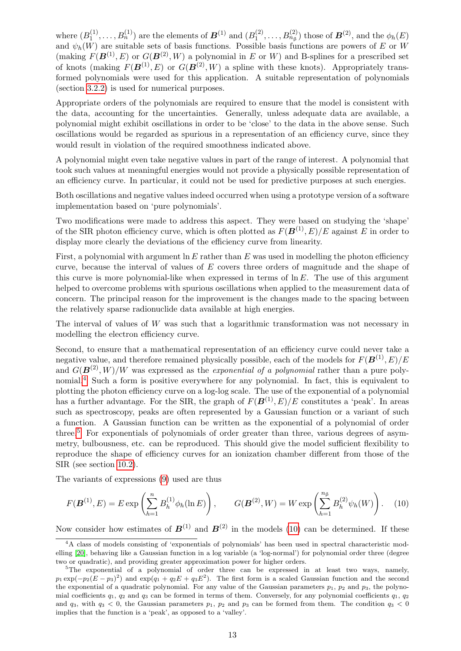where  $(B_1^{(1)}$  $\mathcal{B}_1^{(1)},\ldots,\mathcal{B}_n^{(1)})$  are the elements of  $\boldsymbol{B}^{(1)}$  and  $(\mathcal{B}_1^{(2)})$  $\mathcal{B}_1^{(2)}, \ldots, \mathcal{B}_{n_\beta}^{(2)}$  those of  $\boldsymbol{B}^{(2)},$  and the  $\phi_h(E)$ and  $\psi_h(W)$  are suitable sets of basis functions. Possible basis functions are powers of E or W (making  $F(\mathbf{B}^{(1)}, E)$  or  $G(\mathbf{B}^{(2)}, W)$  a polynomial in E or W) and B-splines for a prescribed set of knots (making  $F(B^{(1)}, E)$  or  $G(\vec{B^{(2)}, W})$  a spline with these knots). Appropriately transformed polynomials were used for this application. A suitable representation of polynomials (section [3.2.2\)](#page-17-0) is used for numerical purposes.

Appropriate orders of the polynomials are required to ensure that the model is consistent with the data, accounting for the uncertainties. Generally, unless adequate data are available, a polynomial might exhibit oscillations in order to be 'close' to the data in the above sense. Such oscillations would be regarded as spurious in a representation of an efficiency curve, since they would result in violation of the required smoothness indicated above.

A polynomial might even take negative values in part of the range of interest. A polynomial that took such values at meaningful energies would not provide a physically possible representation of an efficiency curve. In particular, it could not be used for predictive purposes at such energies.

Both oscillations and negative values indeed occurred when using a prototype version of a software implementation based on 'pure polynomials'.

Two modifications were made to address this aspect. They were based on studying the 'shape' of the SIR photon efficiency curve, which is often plotted as  $F(\mathbf{B}^{(1)}, E)/E$  against E in order to display more clearly the deviations of the efficiency curve from linearity.

First, a polynomial with argument  $\ln E$  rather than E was used in modelling the photon efficiency curve, because the interval of values of  $E$  covers three orders of magnitude and the shape of this curve is more polynomial-like when expressed in terms of  $\ln E$ . The use of this argument helped to overcome problems with spurious oscillations when applied to the measurement data of concern. The principal reason for the improvement is the changes made to the spacing between the relatively sparse radionuclide data available at high energies.

The interval of values of  $W$  was such that a logarithmic transformation was not necessary in modelling the electron efficiency curve.

Second, to ensure that a mathematical representation of an efficiency curve could never take a negative value, and therefore remained physically possible, each of the models for  $F(\mathbf{B}^{(1)}, E)/E$ and  $G(\mathbf{B}^{(2)}, W)/W$  was expressed as the *exponential of a polynomial* rather than a pure poly-nomial.<sup>[4](#page-16-0)</sup> Such a form is positive everywhere for any polynomial. In fact, this is equivalent to plotting the photon efficiency curve on a log-log scale. The use of the exponential of a polynomial has a further advantage. For the SIR, the graph of  $F(\mathbf{B}^{(1)}, E)/E$  constitutes a 'peak'. In areas such as spectroscopy, peaks are often represented by a Gaussian function or a variant of such a function. A Gaussian function can be written as the exponential of a polynomial of order three.<sup>[5](#page-16-1)</sup> For exponentials of polynomials of order greater than three, various degrees of asymmetry, bulbousness, etc. can be reproduced. This should give the model sufficient flexibility to reproduce the shape of efficiency curves for an ionization chamber different from those of the SIR (see section [10.2\)](#page-34-0).

The variants of expressions [\(9\)](#page-15-5) used are thus

<span id="page-16-2"></span>
$$
F(\mathbf{B}^{(1)}, E) = E \exp\left(\sum_{h=1}^{n} B_h^{(1)} \phi_h(\ln E)\right), \qquad G(\mathbf{B}^{(2)}, W) = W \exp\left(\sum_{h=1}^{n} B_h^{(2)} \psi_h(W)\right). \tag{10}
$$

Now consider how estimates of  $\mathbf{B}^{(1)}$  and  $\mathbf{B}^{(2)}$  in the models [\(10\)](#page-16-2) can be determined. If these

<span id="page-16-0"></span><sup>4</sup>A class of models consisting of 'exponentials of polynomials' has been used in spectral characteristic modelling [\[20\]](#page-38-9), behaving like a Gaussian function in a log variable (a 'log-normal') for polynomial order three (degree two or quadratic), and providing greater approximation power for higher orders.

<span id="page-16-1"></span><sup>&</sup>lt;sup>5</sup>The exponential of a polynomial of order three can be expressed in at least two ways, namely,  $p_1 \exp(-p_2(E - p_3)^2)$  and  $\exp(q_1 + q_2E + q_3E^2)$ . The first form is a scaled Gaussian function and the second the exponential of a quadratic polynomial. For any value of the Gaussian parameters  $p_1$ ,  $p_2$  and  $p_3$ , the polynomial coefficients  $q_1$ ,  $q_2$  and  $q_3$  can be formed in terms of them. Conversely, for any polynomial coefficients  $q_1$ ,  $q_2$ and  $q_3$ , with  $q_3 < 0$ , the Gaussian parameters  $p_1$ ,  $p_2$  and  $p_3$  can be formed from them. The condition  $q_3 < 0$ implies that the function is a 'peak', as opposed to a 'valley'.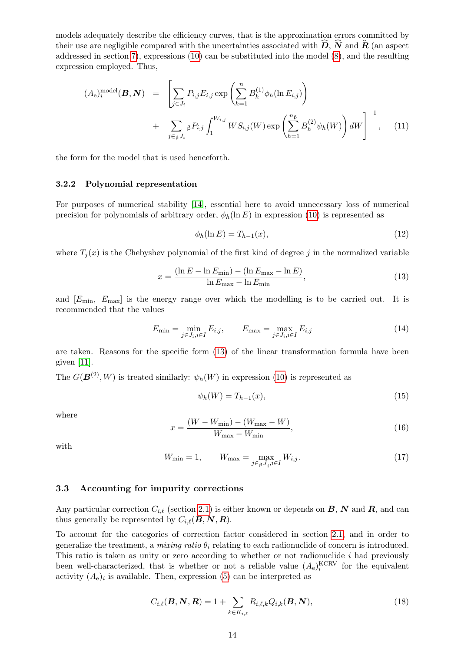models adequately describe the efficiency curves, that is the approximation errors committed by their use are negligible compared with the uncertainties associated with  $\vec{D}$ ,  $\vec{N}$  and  $\vec{R}$  (an aspect addressed in section [7\)](#page-23-0), expressions [\(10\)](#page-16-2) can be substituted into the model [\(8\)](#page-15-6), and the resulting expression employed. Thus,

<span id="page-17-6"></span>
$$
(A_{e})_{i}^{\text{model}}(\boldsymbol{B}, \boldsymbol{N}) = \left[ \sum_{j \in J_{i}} P_{i,j} E_{i,j} \exp \left( \sum_{h=1}^{n} B_{h}^{(1)} \phi_{h}(\ln E_{i,j}) \right) + \sum_{j \in \beta J_{i}} \beta P_{i,j} \int_{1}^{W_{i,j}} W S_{i,j}(W) \exp \left( \sum_{h=1}^{n_{\beta}} B_{h}^{(2)} \psi_{h}(W) \right) dW \right]^{-1}, \quad (11)
$$

the form for the model that is used henceforth.

#### <span id="page-17-0"></span>3.2.2 Polynomial representation

For purposes of numerical stability [\[14\]](#page-37-8), essential here to avoid unnecessary loss of numerical precision for polynomials of arbitrary order,  $\phi_h(\ln E)$  in expression [\(10\)](#page-16-2) is represented as

<span id="page-17-3"></span>
$$
\phi_h(\ln E) = T_{h-1}(x),\tag{12}
$$

where  $T_i(x)$  is the Chebyshev polynomial of the first kind of degree j in the normalized variable

<span id="page-17-2"></span>
$$
x = \frac{(\ln E - \ln E_{\min}) - (\ln E_{\max} - \ln E)}{\ln E_{\max} - \ln E_{\min}},
$$
\n(13)

and  $[E_{\min}, E_{\max}]$  is the energy range over which the modelling is to be carried out. It is recommended that the values

$$
E_{\min} = \min_{j \in J_i, i \in I} E_{i,j}, \qquad E_{\max} = \max_{j \in J_i, i \in I} E_{i,j}
$$
(14)

are taken. Reasons for the specific form [\(13\)](#page-17-2) of the linear transformation formula have been given [\[11\]](#page-37-9).

The  $G(\mathbf{B}^{(2)}, W)$  is treated similarly:  $\psi_h(W)$  in expression [\(10\)](#page-16-2) is represented as

$$
\psi_h(W) = T_{h-1}(x),\tag{15}
$$

where

$$
x = \frac{(W - W_{\min}) - (W_{\max} - W)}{W_{\max} - W_{\min}},
$$
\n(16)

with

<span id="page-17-4"></span>
$$
W_{\min} = 1, \qquad W_{\max} = \max_{j \in \mathcal{G}} W_{i,j}.
$$
 (17)

#### <span id="page-17-1"></span>3.3 Accounting for impurity corrections

Any particular correction  $C_{i,\ell}$  (section [2.1\)](#page-11-1) is either known or depends on B, N and R, and can thus generally be represented by  $C_{i,\ell}(\mathbf{B}, \mathbf{N}, \mathbf{R})$ .

To account for the categories of correction factor considered in section [2.1,](#page-11-1) and in order to generalize the treatment, a mixing ratio  $\theta_i$  relating to each radionuclide of concern is introduced. This ratio is taken as unity or zero according to whether or not radionuclide  $i$  had previously been well-characterized, that is whether or not a reliable value  $(A_e)^{KCRV}$  for the equivalent activity  $(A_e)_i$  is available. Then, expression [\(5\)](#page-12-4) can be interpreted as

<span id="page-17-5"></span>
$$
C_{i,\ell}(\boldsymbol{B},\boldsymbol{N},\boldsymbol{R}) = 1 + \sum_{k \in K_{i,\ell}} R_{i,\ell,k} Q_{i,k}(\boldsymbol{B},\boldsymbol{N}), \qquad (18)
$$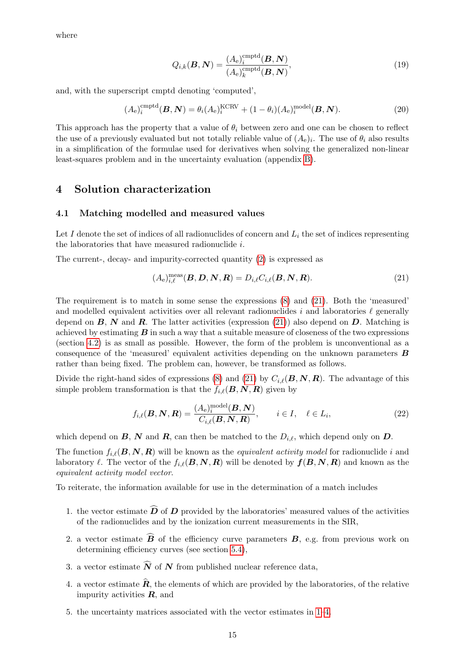where

$$
Q_{i,k}(\boldsymbol{B},\boldsymbol{N}) = \frac{(A_e)_i^{\text{comptd}}(\boldsymbol{B},\boldsymbol{N})}{(A_e)_k^{\text{comptd}}(\boldsymbol{B},\boldsymbol{N})},
$$
\n(19)

and, with the superscript cmptd denoting 'computed',

<span id="page-18-6"></span>
$$
(A_e)_i^{\text{cmptd}}(\boldsymbol{B}, \boldsymbol{N}) = \theta_i (A_e)_i^{\text{KCRV}} + (1 - \theta_i) (A_e)_i^{\text{model}}(\boldsymbol{B}, \boldsymbol{N}). \tag{20}
$$

This approach has the property that a value of  $\theta_i$  between zero and one can be chosen to reflect the use of a previously evaluated but not totally reliable value of  $(A_e)_i$ . The use of  $\theta_i$  also results in a simplification of the formulae used for derivatives when solving the generalized non-linear least-squares problem and in the uncertainty evaluation (appendix [B\)](#page-44-0).

# <span id="page-18-0"></span>4 Solution characterization

#### <span id="page-18-1"></span>4.1 Matching modelled and measured values

Let  $I$  denote the set of indices of all radionuclides of concern and  $L_i$  the set of indices representing the laboratories that have measured radionuclide i.

The current-, decay- and impurity-corrected quantity [\(2\)](#page-12-5) is expressed as

<span id="page-18-2"></span>
$$
(Ae)i,\ellmeas(B, D, N, R) = Di,\ellCi,\ell(B, N, R).
$$
\n(21)

The requirement is to match in some sense the expressions [\(8\)](#page-15-6) and [\(21\)](#page-18-2). Both the 'measured' and modelled equivalent activities over all relevant radionuclides  $i$  and laboratories  $\ell$  generally depend on  $\mathbf{B}, \mathbf{N}$  and  $\mathbf{R}$ . The latter activities (expression [\(21\)](#page-18-2)) also depend on  $\mathbf{D}$ . Matching is achieved by estimating  $\bm{B}$  in such a way that a suitable measure of closeness of the two expressions (section [4.2\)](#page-19-0) is as small as possible. However, the form of the problem is unconventional as a consequence of the 'measured' equivalent activities depending on the unknown parameters  $\boldsymbol{B}$ rather than being fixed. The problem can, however, be transformed as follows.

Divide the right-hand sides of expressions [\(8\)](#page-15-6) and [\(21\)](#page-18-2) by  $C_{i,\ell}(B, N, R)$ . The advantage of this simple problem transformation is that the  $f_{i,\ell}(B, N, R)$  given by

<span id="page-18-5"></span>
$$
f_{i,\ell}(\boldsymbol{B},\boldsymbol{N},\boldsymbol{R}) = \frac{(A_{\mathrm{e}})_{i}^{\mathrm{model}}(\boldsymbol{B},\boldsymbol{N})}{C_{i,\ell}(\boldsymbol{B},\boldsymbol{N},\boldsymbol{R})}, \qquad i \in I, \quad \ell \in L_{i}, \tag{22}
$$

which depend on  $\mathbf{B}, \mathbf{N}$  and  $\mathbf{R}$ , can then be matched to the  $D_{i,\ell}$ , which depend only on  $\mathbf{D}$ .

The function  $f_{i,\ell}(B, N, R)$  will be known as the *equivalent activity model* for radionuclide i and laboratory  $\ell$ . The vector of the  $f_{i,\ell}(B, N, R)$  will be denoted by  $f(B, N, R)$  and known as the equivalent activity model vector.

To reiterate, the information available for use in the determination of a match includes

- <span id="page-18-3"></span>1. the vector estimate  $\widehat{D}$  of  $D$  provided by the laboratories' measured values of the activities of the radionuclides and by the ionization current measurements in the SIR,
- 2. a vector estimate  $\vec{B}$  of the efficiency curve parameters  $B$ , e.g. from previous work on determining efficiency curves (see section [5.4\)](#page-22-0),
- 3. a vector estimate  $\widehat{N}$  of N from published nuclear reference data,
- <span id="page-18-4"></span>4. a vector estimate  $\hat{\mathbf{R}}$ , the elements of which are provided by the laboratories, of the relative impurity activities  $\boldsymbol{R}$ , and
- 5. the uncertainty matrices associated with the vector estimates in [1–](#page-18-3)[4.](#page-18-4)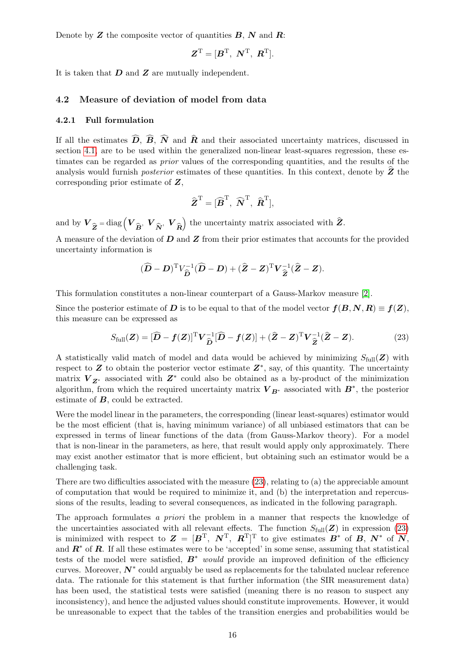Denote by  $Z$  the composite vector of quantities  $B, N$  and  $R$ :

$$
\boldsymbol{Z}^{\mathrm{T}} = [\boldsymbol{B}^{\mathrm{T}}, \ \boldsymbol{N}^{\mathrm{T}}, \ \boldsymbol{R}^{\mathrm{T}}].
$$

It is taken that  $D$  and  $Z$  are mutually independent.

#### <span id="page-19-0"></span>4.2 Measure of deviation of model from data

#### <span id="page-19-1"></span>4.2.1 Full formulation

If all the estimates  $\widehat{D}$ ,  $\widehat{B}$ ,  $\widehat{N}$  and  $\widehat{R}$  and their associated uncertainty matrices, discussed in section [4.1,](#page-18-1) are to be used within the generalized non-linear least-squares regression, these estimates can be regarded as prior values of the corresponding quantities, and the results of the analysis would furnish *posterior* estimates of these quantities. In this context, denote by  $Z$  the corresponding prior estimate of Z,

$$
\widehat{\boldsymbol{Z}}^{\mathrm{T}}=[\widehat{\boldsymbol{B}}^{\mathrm{T}}, \ \widehat{\boldsymbol{N}}^{\mathrm{T}}, \ \widehat{\boldsymbol{R}}^{\mathrm{T}}],
$$

and by  $\boldsymbol{V}_{\widehat{\boldsymbol{Z}}}$  $=\text{diag}\left(\boldsymbol{V}_{\widehat{\boldsymbol{B}}},\;\boldsymbol{V}_{\widehat{\boldsymbol{N}}},\;\boldsymbol{V}_{\widehat{\boldsymbol{R}}}\right)$ ) the uncertainty matrix associated with  $\hat{Z}$ .

A measure of the deviation of  $D$  and  $Z$  from their prior estimates that accounts for the provided uncertainty information is

$$
(\widehat{\mathbf{D}}-\mathbf{D})^{\mathrm{T}} V_{\widehat{\mathbf{D}}}^{-1}(\widehat{\mathbf{D}}-\mathbf{D})+(\widehat{\mathbf{Z}}-\mathbf{Z})^{\mathrm{T}}\mathbf{V}_{\widehat{\mathbf{Z}}}^{-1}(\widehat{\mathbf{Z}}-\mathbf{Z}).
$$

This formulation constitutes a non-linear counterpart of a Gauss-Markov measure [\[2\]](#page-37-1).

Since the posterior estimate of D is to be equal to that of the model vector  $f(B, N, R) \equiv f(Z)$ , this measure can be expressed as

<span id="page-19-2"></span>
$$
S_{\text{full}}(\mathbf{Z}) = [\widehat{\mathbf{D}} - \mathbf{f}(\mathbf{Z})]^{\text{T}} \mathbf{V}_{\widehat{\mathbf{D}}}^{-1} [\widehat{\mathbf{D}} - \mathbf{f}(\mathbf{Z})] + (\widehat{\mathbf{Z}} - \mathbf{Z})^{\text{T}} \mathbf{V}_{\widehat{\mathbf{Z}}}^{-1} (\widehat{\mathbf{Z}} - \mathbf{Z}). \tag{23}
$$

A statistically valid match of model and data would be achieved by minimizing  $S_{full}(Z)$  with respect to  $Z$  to obtain the posterior vector estimate  $Z^*$ , say, of this quantity. The uncertainty matrix  $V_{Z^*}$  associated with  $Z^*$  could also be obtained as a by-product of the minimization algorithm, from which the required uncertainty matrix  $V_{B^*}$  associated with  $B^*$ , the posterior estimate of  $B$ , could be extracted.

Were the model linear in the parameters, the corresponding (linear least-squares) estimator would be the most efficient (that is, having minimum variance) of all unbiased estimators that can be expressed in terms of linear functions of the data (from Gauss-Markov theory). For a model that is non-linear in the parameters, as here, that result would apply only approximately. There may exist another estimator that is more efficient, but obtaining such an estimator would be a challenging task.

There are two difficulties associated with the measure [\(23\)](#page-19-2), relating to (a) the appreciable amount of computation that would be required to minimize it, and (b) the interpretation and repercussions of the results, leading to several consequences, as indicated in the following paragraph.

The approach formulates a priori the problem in a manner that respects the knowledge of the uncertainties associated with all relevant effects. The function  $S_{\text{full}}(\mathbf{Z})$  in expression [\(23\)](#page-19-2) is minimized with respect to  $\mathbf{Z} = [\mathbf{B}^T, \ \mathbf{N}^T, \ \mathbf{R}^T]^T$  to give estimates  $\mathbf{B}^*$  of  $\mathbf{B}, \ \mathbf{N}^*$  of  $\mathbf{N},$ and  $\mathbb{R}^*$  of  $\mathbb{R}$ . If all these estimates were to be 'accepted' in some sense, assuming that statistical tests of the model were satisfied,  $B^*$  would provide an improved definition of the efficiency curves. Moreover,  $N^*$  could arguably be used as replacements for the tabulated nuclear reference data. The rationale for this statement is that further information (the SIR measurement data) has been used, the statistical tests were satisfied (meaning there is no reason to suspect any inconsistency), and hence the adjusted values should constitute improvements. However, it would be unreasonable to expect that the tables of the transition energies and probabilities would be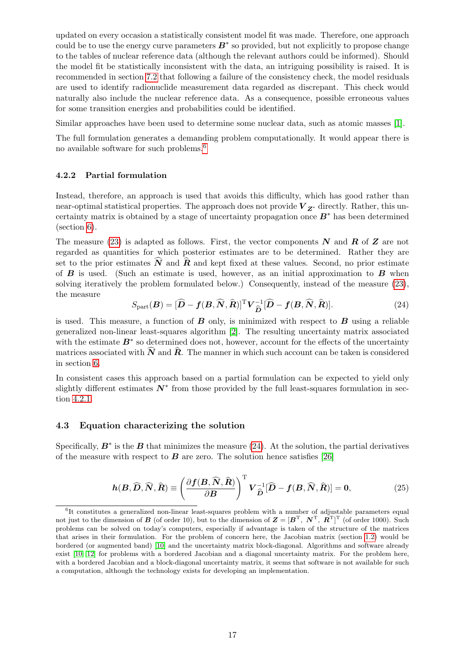updated on every occasion a statistically consistent model fit was made. Therefore, one approach could be to use the energy curve parameters  $B^*$  so provided, but not explicitly to propose change to the tables of nuclear reference data (although the relevant authors could be informed). Should the model fit be statistically inconsistent with the data, an intriguing possibility is raised. It is recommended in section [7.2](#page-24-1) that following a failure of the consistency check, the model residuals are used to identify radionuclide measurement data regarded as discrepant. This check would naturally also include the nuclear reference data. As a consequence, possible erroneous values for some transition energies and probabilities could be identified.

Similar approaches have been used to determine some nuclear data, such as atomic masses [\[1\]](#page-37-10).

The full formulation generates a demanding problem computationally. It would appear there is no available software for such problems.[6](#page-20-2)

#### <span id="page-20-0"></span>4.2.2 Partial formulation

Instead, therefore, an approach is used that avoids this difficulty, which has good rather than near-optimal statistical properties. The approach does not provide  $V_{Z^*}$  directly. Rather, this uncertainty matrix is obtained by a stage of uncertainty propagation once  $B^*$  has been determined (section [6\)](#page-22-1).

The measure [\(23\)](#page-19-2) is adapted as follows. First, the vector components  $N$  and  $R$  of  $Z$  are not regarded as quantities for which posterior estimates are to be determined. Rather they are set to the prior estimates  $\hat{\mathbf{N}}$  and  $\hat{\mathbf{R}}$  and kept fixed at these values. Second, no prior estimate of  $\bf{B}$  is used. (Such an estimate is used, however, as an initial approximation to  $\bf{B}$  when solving iteratively the problem formulated below.) Consequently, instead of the measure [\(23\)](#page-19-2), the measure

<span id="page-20-3"></span>
$$
S_{\text{part}}(\boldsymbol{B}) = [\widehat{\boldsymbol{D}} - \boldsymbol{f}(\boldsymbol{B}, \widehat{\boldsymbol{N}}, \widehat{\boldsymbol{R}})]^{\text{T}} \boldsymbol{V}_{\widehat{\boldsymbol{D}}}^{-1} [\widehat{\boldsymbol{D}} - \boldsymbol{f}(\boldsymbol{B}, \widehat{\boldsymbol{N}}, \widehat{\boldsymbol{R}})]. \tag{24}
$$

is used. This measure, a function of  $B$  only, is minimized with respect to  $B$  using a reliable generalized non-linear least-squares algorithm [\[2\]](#page-37-1). The resulting uncertainty matrix associated with the estimate  $B^*$  so determined does not, however, account for the effects of the uncertainty matrices associated with  $\widehat{N}$  and  $\widehat{R}$ . The manner in which such account can be taken is considered in section [6.](#page-22-1)

In consistent cases this approach based on a partial formulation can be expected to yield only slightly different estimates  $N^*$  from those provided by the full least-squares formulation in section [4.2.1.](#page-19-1)

#### <span id="page-20-1"></span>4.3 Equation characterizing the solution

Specifically,  $B^*$  is the  $B$  that minimizes the measure [\(24\)](#page-20-3). At the solution, the partial derivatives of the measure with respect to  $\bf{B}$  are zero. The solution hence satisfies [\[26\]](#page-38-10)

<span id="page-20-4"></span>
$$
h(B,\widehat{\boldsymbol{D}},\widehat{\boldsymbol{N}},\widehat{\boldsymbol{R}}) \equiv \left(\frac{\partial \boldsymbol{f}(\boldsymbol{B},\widehat{\boldsymbol{N}},\widehat{\boldsymbol{R}})}{\partial \boldsymbol{B}}\right)^{\mathrm{T}} \boldsymbol{V}_{\widehat{\boldsymbol{D}}}^{-1} [\widehat{\boldsymbol{D}} - \boldsymbol{f}(\boldsymbol{B},\widehat{\boldsymbol{N}},\widehat{\boldsymbol{R}})] = \boldsymbol{0},\tag{25}
$$

<span id="page-20-2"></span><sup>6</sup> It constitutes a generalized non-linear least-squares problem with a number of adjustable parameters equal not just to the dimension of B (of order 10), but to the dimension of  $\mathbf{Z} = [\mathbf{B}^T, \ \mathbf{N}^T, \ \mathbf{R}^T]^T$  (of order 1000). Such problems can be solved on today's computers, especially if advantage is taken of the structure of the matrices that arises in their formulation. For the problem of concern here, the Jacobian matrix (section [1.2\)](#page-9-0) would be bordered (or augmented band) [\[10\]](#page-37-11) and the uncertainty matrix block-diagonal. Algorithms and software already exist [\[10,](#page-37-11) [12\]](#page-37-12) for problems with a bordered Jacobian and a diagonal uncertainty matrix. For the problem here, with a bordered Jacobian and a block-diagonal uncertainty matrix, it seems that software is not available for such a computation, although the technology exists for developing an implementation.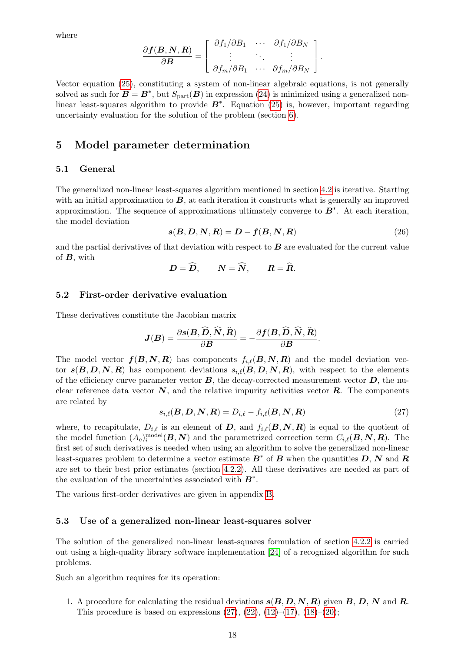where

$$
\frac{\partial \boldsymbol{f}(\boldsymbol{B},\boldsymbol{N},\boldsymbol{R})}{\partial \boldsymbol{B}} = \left[ \begin{array}{ccc} \partial f_1/\partial B_1 & \cdots & \partial f_1/\partial B_N \\ \vdots & \ddots & \vdots \\ \partial f_m/\partial B_1 & \cdots & \partial f_m/\partial B_N \end{array} \right].
$$

Vector equation [\(25\)](#page-20-4), constituting a system of non-linear algebraic equations, is not generally solved as such for  $B = B^*$ , but  $S_{part}(B)$  in expression [\(24\)](#page-20-3) is minimized using a generalized nonlinear least-squares algorithm to provide  $B^*$ . Equation [\(25\)](#page-20-4) is, however, important regarding uncertainty evaluation for the solution of the problem (section [6\)](#page-22-1).

# <span id="page-21-0"></span>5 Model parameter determination

#### <span id="page-21-1"></span>5.1 General

The generalized non-linear least-squares algorithm mentioned in section [4.2](#page-19-0) is iterative. Starting with an initial approximation to  $\bm{B}$ , at each iteration it constructs what is generally an improved approximation. The sequence of approximations ultimately converge to  $B^*$ . At each iteration, the model deviation

<span id="page-21-5"></span>
$$
s(B, D, N, R) = D - f(B, N, R)
$$
\n<sup>(26)</sup>

and the partial derivatives of that deviation with respect to  $\bm{B}$  are evaluated for the current value of  $B$ , with

$$
D=\widehat{D},\qquad N=\widehat{N},\qquad R=\widehat{R}.
$$

#### <span id="page-21-2"></span>5.2 First-order derivative evaluation

These derivatives constitute the Jacobian matrix

$$
\boldsymbol{J}(\boldsymbol{B})=\frac{\partial \boldsymbol{s}(\boldsymbol{B},\widehat{\boldsymbol{D}},\widehat{\boldsymbol{N}},\widehat{\boldsymbol{R}})}{\partial \boldsymbol{B}}=-\frac{\partial \boldsymbol{f}(\boldsymbol{B},\widehat{\boldsymbol{D}},\widehat{\boldsymbol{N}},\widehat{\boldsymbol{R}})}{\partial \boldsymbol{B}}.
$$

The model vector  $f(B, N, R)$  has components  $f_{i,\ell}(B, N, R)$  and the model deviation vector  $s(B, D, N, R)$  has component deviations  $s_{i,\ell}(B, D, N, R)$ , with respect to the elements of the efficiency curve parameter vector  $\bm{B}$ , the decay-corrected measurement vector  $\bm{D}$ , the nuclear reference data vector  $N$ , and the relative impurity activities vector  $R$ . The components are related by

<span id="page-21-4"></span>
$$
s_{i,\ell}(\boldsymbol{B},\boldsymbol{D},\boldsymbol{N},\boldsymbol{R})=D_{i,\ell}-f_{i,\ell}(\boldsymbol{B},\boldsymbol{N},\boldsymbol{R})
$$
\n(27)

where, to recapitulate,  $D_{i,\ell}$  is an element of D, and  $f_{i,\ell}(B, N, R)$  is equal to the quotient of the model function  $(A_e)^{\text{model}}_i(B, N)$  and the parametrized correction term  $C_{i,\ell}(B, N, R)$ . The first set of such derivatives is needed when using an algorithm to solve the generalized non-linear least-squares problem to determine a vector estimate  $B^*$  of  $B$  when the quantities  $D, N$  and  $R$ are set to their best prior estimates (section [4.2.2\)](#page-20-0). All these derivatives are needed as part of the evaluation of the uncertainties associated with  $B^*$ .

The various first-order derivatives are given in appendix [B.](#page-44-0)

#### <span id="page-21-3"></span>5.3 Use of a generalized non-linear least-squares solver

The solution of the generalized non-linear least-squares formulation of section [4.2.2](#page-20-0) is carried out using a high-quality library software implementation [\[24\]](#page-38-11) of a recognized algorithm for such problems.

Such an algorithm requires for its operation:

1. A procedure for calculating the residual deviations  $s(B, D, N, R)$  given B, D, N and R. This procedure is based on expressions  $(27)$ ,  $(22)$ ,  $(12)$ – $(17)$ ,  $(18)$ – $(20)$ ;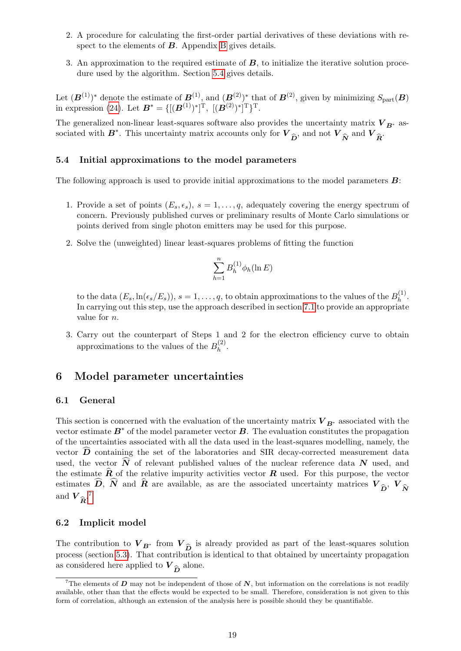- 2. A procedure for calculating the first-order partial derivatives of these deviations with respect to the elements of  $\boldsymbol{B}$ . Appendix [B](#page-44-0) gives details.
- 3. An approximation to the required estimate of  $\boldsymbol{B}$ , to initialize the iterative solution procedure used by the algorithm. Section [5.4](#page-22-0) gives details.

Let  $(B^{(1)})^*$  denote the estimate of  $B^{(1)}$ , and  $(B^{(2)})^*$  that of  $B^{(2)}$ , given by minimizing  $S_{part}(B)$ in expression [\(24\)](#page-20-3). Let  $B^* = \{[(B^{(1)})^*]^T, \ [(\mathbf{B}^{(2)})^*]^T\}^T$ .

The generalized non-linear least-squares software also provides the uncertainty matrix  $V_{B^*}$  associated with  $B^*$ . This uncertainty matrix accounts only for  $V_{\hat{D}}$ , and not  $V_{\hat{N}}$  and  $V_{\hat{R}}$ .

#### <span id="page-22-0"></span>5.4 Initial approximations to the model parameters

The following approach is used to provide initial approximations to the model parameters B:

- 1. Provide a set of points  $(E_s, \epsilon_s)$ ,  $s = 1, \ldots, q$ , adequately covering the energy spectrum of concern. Previously published curves or preliminary results of Monte Carlo simulations or points derived from single photon emitters may be used for this purpose.
- 2. Solve the (unweighted) linear least-squares problems of fitting the function

$$
\sum_{h=1}^n B_h^{(1)} \phi_h(\ln E)
$$

to the data  $(E_s, \ln(\epsilon_s/E_s))$ ,  $s = 1, \ldots, q$ , to obtain approximations to the values of the  $B_h^{(1)}$  $h^{(1)}$ . In carrying out this step, use the approach described in section [7.1](#page-24-0) to provide an appropriate value for n.

3. Carry out the counterpart of Steps 1 and 2 for the electron efficiency curve to obtain approximations to the values of the  $B_h^{(2)}$  $h^{(2)}$ .

# <span id="page-22-1"></span>6 Model parameter uncertainties

#### <span id="page-22-2"></span>6.1 General

This section is concerned with the evaluation of the uncertainty matrix  $V_{B^*}$  associated with the vector estimate  $B^*$  of the model parameter vector  $B$ . The evaluation constitutes the propagation of the uncertainties associated with all the data used in the least-squares modelling, namely, the vector  $\widehat{\mathbf{D}}$  containing the set of the laboratories and SIR decay-corrected measurement data used, the vector  $\widehat{N}$  of relevant published values of the nuclear reference data N used, and the estimate  $\hat{R}$  of the relative impurity activities vector  $R$  used. For this purpose, the vector estimates D, N and R are available, as are the associated uncertainty matrices  $V_{\hat{D}}$ ,  $V_{\hat{N}}$ and  $V_{\hat{R}}^{\,7}$  $V_{\hat{R}}^{\,7}$  $V_{\hat{R}}^{\,7}$ 

#### <span id="page-22-3"></span>6.2 Implicit model

The contribution to  $V_{B^*}$  from  $V_{\hat{D}}$  is already provided as part of the least-squares solution<br>process (section 5.3) That contribution is identical to that obtained by uncertainty propagation process (section [5.3\)](#page-21-3). That contribution is identical to that obtained by uncertainty propagation as considered here applied to  $V_{\hat{D}}$  alone.

<span id="page-22-4"></span><sup>&</sup>lt;sup>7</sup>The elements of D may not be independent of those of N, but information on the correlations is not readily available, other than that the effects would be expected to be small. Therefore, consideration is not given to this form of correlation, although an extension of the analysis here is possible should they be quantifiable.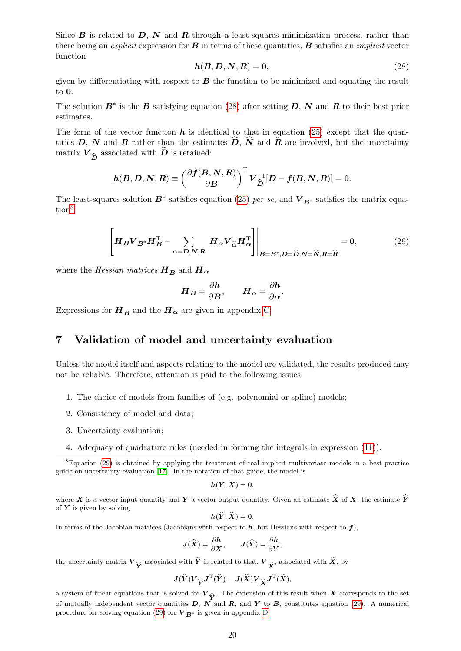Since  $\bm{B}$  is related to  $\bm{D}$ ,  $\bm{N}$  and  $\bm{R}$  through a least-squares minimization process, rather than there being an *explicit* expression for  $\bf{B}$  in terms of these quantities,  $\bf{B}$  satisfies an *implicit* vector function

<span id="page-23-1"></span>
$$
h(B, D, N, R) = 0,\t(28)
$$

given by differentiating with respect to  $\boldsymbol{B}$  the function to be minimized and equating the result to 0.

The solution  $B^*$  is the B satisfying equation [\(28\)](#page-23-1) after setting D, N and R to their best prior estimates.

The form of the vector function  $h$  is identical to that in equation [\(25\)](#page-20-4) except that the quantities D, N and R rather than the estimates  $\widehat{D}$ ,  $\widehat{N}$  and  $\widehat{R}$  are involved, but the uncertainty matrix  $V_{\widehat{\bm{D}}}$  associated with  $\bm{D}$  is retained:

$$
\boldsymbol{h}(\boldsymbol{B},\boldsymbol{D},\boldsymbol{N},\boldsymbol{R})\equiv\left(\frac{\partial\boldsymbol{f}(\boldsymbol{B},\boldsymbol{N},\boldsymbol{R})}{\partial\boldsymbol{B}}\right)^{\mathrm{T}}\boldsymbol{V}_{\widehat{\boldsymbol{D}}}^{-1}[\boldsymbol{D}-\boldsymbol{f}(\boldsymbol{B},\boldsymbol{N},\boldsymbol{R})]=\boldsymbol{0}.
$$

The least-squares solution  $B^*$  satisfies equation [\(25\)](#page-20-4) per se, and  $V_{B^*}$  satisfies the matrix equa-tion<sup>[8](#page-23-2)</sup>

<span id="page-23-3"></span>
$$
\left[ H_B V_{B^*} H_B^{\mathrm{T}} - \sum_{\alpha = D, N, R} H_\alpha V_{\widehat{\alpha}} H_\alpha^{\mathrm{T}} \right] \Big|_{B = B^*, D = \widehat{D}, N = \widehat{N}, R = \widehat{R}} = 0, \tag{29}
$$

where the Hessian matrices  $H_B$  and  $H_{\alpha}$ 

$$
\boldsymbol{H}_{\boldsymbol{B}} = \frac{\partial \boldsymbol{h}}{\partial \boldsymbol{B}}, \qquad \boldsymbol{H}_{\boldsymbol{\alpha}} = \frac{\partial \boldsymbol{h}}{\partial \boldsymbol{\alpha}}.
$$

Expressions for  $H_B$  and the  $H_\alpha$  are given in appendix [C.](#page-46-0)

# <span id="page-23-0"></span>7 Validation of model and uncertainty evaluation

Unless the model itself and aspects relating to the model are validated, the results produced may not be reliable. Therefore, attention is paid to the following issues:

- 1. The choice of models from families of (e.g. polynomial or spline) models;
- 2. Consistency of model and data;
- 3. Uncertainty evaluation;
- <span id="page-23-2"></span>4. Adequacy of quadrature rules (needed in forming the integrals in expression [\(11\)](#page-17-6)).

$$
h(Y,X)=0,
$$

where X is a vector input quantity and Y a vector output quantity. Given an estimate  $\hat{X}$  of X, the estimate  $\hat{Y}$ of  $Y$  is given by solving

$$
h(\hat{\boldsymbol{Y}},\hat{\boldsymbol{X}})=\boldsymbol{0}.
$$

In terms of the Jacobian matrices (Jacobians with respect to  $h$ , but Hessians with respect to f),

$$
\mathbf{J}(\widehat{\mathbf{X}}) = \frac{\partial \mathbf{h}}{\partial \mathbf{X}}, \qquad \mathbf{J}(\widehat{\mathbf{Y}}) = \frac{\partial \mathbf{h}}{\partial \mathbf{Y}},
$$

the uncertainty matrix  $V_{\hat{Y}}$  associated with Y is related to that,  $V_{\hat{X}}$ , associated with X, by

$$
\boldsymbol{J}(\widehat{\boldsymbol{Y}})\boldsymbol{V}_{\widehat{\boldsymbol{Y}}}\boldsymbol{J}^{\mathrm{T}}(\widehat{\boldsymbol{Y}})=\boldsymbol{J}(\widehat{\boldsymbol{X}})\boldsymbol{V}_{\widehat{\boldsymbol{X}}}\boldsymbol{J}^{\mathrm{T}}(\widehat{\boldsymbol{X}}),
$$

a system of linear equations that is solved for  $V_{\hat{\infty}}$ . The extension of this result when X corresponds to the set of mutually independent vector quantities  $D$ ,  $N$  and  $R$ , and  $Y$  to  $B$ , constitutes equation [\(29\)](#page-23-3). A numerical procedure for solving equation [\(29\)](#page-23-3) for  $V_{B^*}$  is given in appendix [D.](#page-47-0)

<sup>8</sup>Equation [\(29\)](#page-23-3) is obtained by applying the treatment of real implicit multivariate models in a best-practice guide on uncertainty evaluation [\[17\]](#page-37-13). In the notation of that guide, the model is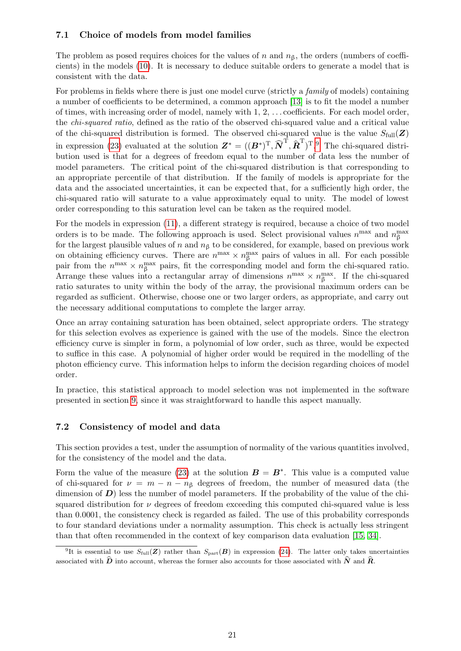# <span id="page-24-0"></span>7.1 Choice of models from model families

The problem as posed requires choices for the values of n and  $n<sub>\beta</sub>$ , the orders (numbers of coefficients) in the models [\(10\)](#page-16-2). It is necessary to deduce suitable orders to generate a model that is consistent with the data.

For problems in fields where there is just one model curve (strictly a *family* of models) containing a number of coefficients to be determined, a common approach [\[13\]](#page-37-14) is to fit the model a number of times, with increasing order of model, namely with 1, 2, . . . coefficients. For each model order, the chi-squared ratio, defined as the ratio of the observed chi-squared value and a critical value of the chi-squared distribution is formed. The observed chi-squared value is the value  $S_{\text{full}}(\mathbf{Z})$ in expression [\(23\)](#page-19-2) evaluated at the solution  $\mathbf{Z}^* = ((\mathbf{B}^*)^T, \widehat{\mathbf{N}}^T, \widehat{\mathbf{R}}^T)^T$ <sup>[9](#page-24-2)</sup>. The chi-squared distribution used is that for a degrees of freedom equal to the number of data less the number of model parameters. The critical point of the chi-squared distribution is that corresponding to an appropriate percentile of that distribution. If the family of models is appropriate for the data and the associated uncertainties, it can be expected that, for a sufficiently high order, the chi-squared ratio will saturate to a value approximately equal to unity. The model of lowest order corresponding to this saturation level can be taken as the required model.

For the models in expression [\(11\)](#page-17-6), a different strategy is required, because a choice of two model orders is to be made. The following approach is used. Select provisional values  $n^{\max}$  and  $n_{\beta}^{\max}$ for the largest plausible values of n and  $n<sub>β</sub>$  to be considered, for example, based on previous work on obtaining efficiency curves. There are  $n^{\max} \times n_{\beta}^{\max}$  pairs of values in all. For each possible pair from the  $n^{\max} \times n_{\beta}^{\max}$  pairs, fit the corresponding model and form the chi-squared ratio. Arrange these values into a rectangular array of dimensions  $n^{\max} \times n_{\beta}^{\max}$ . If the chi-squared ratio saturates to unity within the body of the array, the provisional maximum orders can be regarded as sufficient. Otherwise, choose one or two larger orders, as appropriate, and carry out the necessary additional computations to complete the larger array.

Once an array containing saturation has been obtained, select appropriate orders. The strategy for this selection evolves as experience is gained with the use of the models. Since the electron efficiency curve is simpler in form, a polynomial of low order, such as three, would be expected to suffice in this case. A polynomial of higher order would be required in the modelling of the photon efficiency curve. This information helps to inform the decision regarding choices of model order.

In practice, this statistical approach to model selection was not implemented in the software presented in section [9,](#page-27-1) since it was straightforward to handle this aspect manually.

# <span id="page-24-1"></span>7.2 Consistency of model and data

This section provides a test, under the assumption of normality of the various quantities involved, for the consistency of the model and the data.

Form the value of the measure [\(23\)](#page-19-2) at the solution  $\mathbf{B} = \mathbf{B}^*$ . This value is a computed value of chi-squared for  $\nu = m - n - n<sub>\beta</sub>$  degrees of freedom, the number of measured data (the dimension of  $D$ ) less the number of model parameters. If the probability of the value of the chisquared distribution for  $\nu$  degrees of freedom exceeding this computed chi-squared value is less than 0.0001, the consistency check is regarded as failed. The use of this probability corresponds to four standard deviations under a normality assumption. This check is actually less stringent than that often recommended in the context of key comparison data evaluation [\[15,](#page-37-15) [34\]](#page-38-12).

<span id="page-24-2"></span><sup>&</sup>lt;sup>9</sup>It is essential to use  $S_{\text{full}}(\mathbf{Z})$  rather than  $S_{\text{part}}(\mathbf{B})$  in expression [\(24\)](#page-20-3). The latter only takes uncertainties associated with  $\hat{D}$  into account, whereas the former also accounts for those associated with  $\hat{N}$  and  $\hat{R}$ .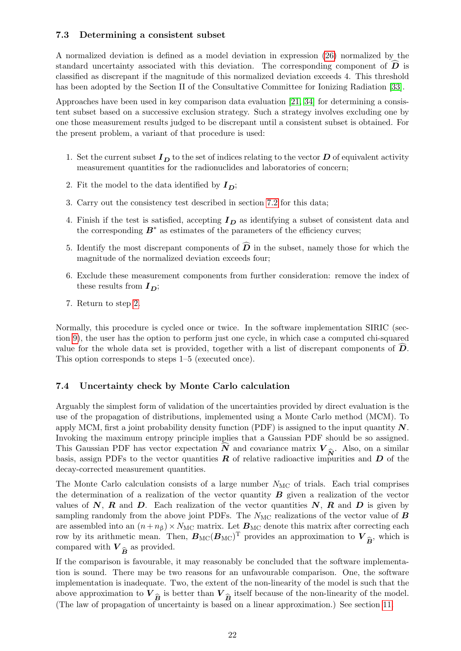# <span id="page-25-0"></span>7.3 Determining a consistent subset

A normalized deviation is defined as a model deviation in expression [\(26\)](#page-21-5) normalized by the standard uncertainty associated with this deviation. The corresponding component of  $\hat{\bm{D}}$  is classified as discrepant if the magnitude of this normalized deviation exceeds 4. This threshold has been adopted by the Section II of the Consultative Committee for Ionizing Radiation [\[33\]](#page-38-13).

Approaches have been used in key comparison data evaluation [\[21,](#page-38-14) [34\]](#page-38-12) for determining a consistent subset based on a successive exclusion strategy. Such a strategy involves excluding one by one those measurement results judged to be discrepant until a consistent subset is obtained. For the present problem, a variant of that procedure is used:

- 1. Set the current subset  $I_D$  to the set of indices relating to the vector D of equivalent activity measurement quantities for the radionuclides and laboratories of concern;
- <span id="page-25-2"></span>2. Fit the model to the data identified by  $I_D$ ;
- 3. Carry out the consistency test described in section [7.2](#page-24-1) for this data;
- 4. Finish if the test is satisfied, accepting  $I_D$  as identifying a subset of consistent data and the corresponding  $B^*$  as estimates of the parameters of the efficiency curves;
- 5. Identify the most discrepant components of  $\widehat{\mathbf{D}}$  in the subset, namely those for which the magnitude of the normalized deviation exceeds four;
- 6. Exclude these measurement components from further consideration: remove the index of these results from  $I_D$ ;
- 7. Return to step [2.](#page-25-2)

Normally, this procedure is cycled once or twice. In the software implementation SIRIC (section [9\)](#page-27-1), the user has the option to perform just one cycle, in which case a computed chi-squared value for the whole data set is provided, together with a list of discrepant components of  $D$ . This option corresponds to steps 1–5 (executed once).

# <span id="page-25-1"></span>7.4 Uncertainty check by Monte Carlo calculation

Arguably the simplest form of validation of the uncertainties provided by direct evaluation is the use of the propagation of distributions, implemented using a Monte Carlo method (MCM). To apply MCM, first a joint probability density function (PDF) is assigned to the input quantity  $N$ . Invoking the maximum entropy principle implies that a Gaussian PDF should be so assigned. This Gaussian PDF has vector expectation N and covariance matrix  $V_{\hat{N}}$ . Also, on a similar basis, assign PDFs to the vector quantities R of relative radioactive impurities and D of the basis, assign PDFs to the vector quantities  $\bf{R}$  of relative radioactive impurities and  $\bf{D}$  of the decay-corrected measurement quantities.

The Monte Carlo calculation consists of a large number  $N_{MC}$  of trials. Each trial comprises the determination of a realization of the vector quantity  $\bf{B}$  given a realization of the vector values of N, R and D. Each realization of the vector quantities  $N$ , R and D is given by sampling randomly from the above joint PDFs. The  $N_{\text{MC}}$  realizations of the vector value of  $\boldsymbol{B}$ are assembled into an  $(n+n_\beta) \times N_{\text{MC}}$  matrix. Let  $B_{\text{MC}}$  denote this matrix after correcting each row by its arithmetic mean. Then,  $B_{\text{MC}}(B_{\text{MC}})^{\text{T}}$  provides an approximation to V  $\hat{\mathbf{B}}$ , which is compared with  $V_{\hat{B}}$  as provided.

If the comparison is favourable, it may reasonably be concluded that the software implementation is sound. There may be two reasons for an unfavourable comparison. One, the software implementation is inadequate. Two, the extent of the non-linearity of the model is such that the above approximation to  $V_{\hat{p}}$  is better than  $V_{\hat{p}}$  itself because of the non-linearity of the model. (The law of propagation of uncertainty is based on a linear approximation.) See section [11.](#page-35-0)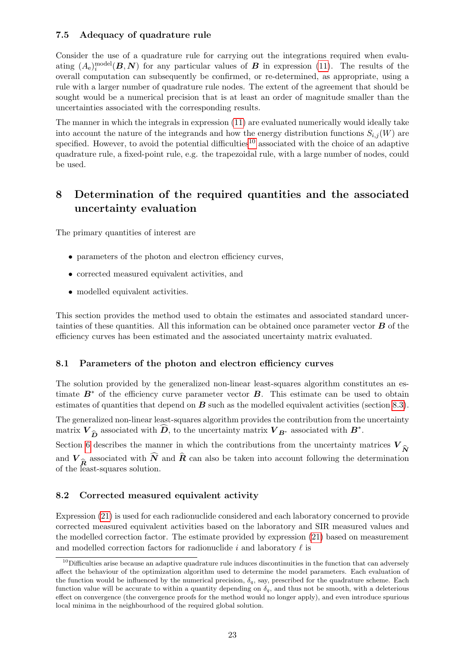# <span id="page-26-0"></span>7.5 Adequacy of quadrature rule

Consider the use of a quadrature rule for carrying out the integrations required when evaluating  $(A_e)^{\text{model}}_i(B, N)$  for any particular values of **B** in expression [\(11\)](#page-17-6). The results of the overall computation can subsequently be confirmed, or re-determined, as appropriate, using a rule with a larger number of quadrature rule nodes. The extent of the agreement that should be sought would be a numerical precision that is at least an order of magnitude smaller than the uncertainties associated with the corresponding results.

The manner in which the integrals in expression [\(11\)](#page-17-6) are evaluated numerically would ideally take into account the nature of the integrands and how the energy distribution functions  $S_{i,j}(W)$  are specified. However, to avoid the potential difficulties<sup>[10](#page-26-4)</sup> associated with the choice of an adaptive quadrature rule, a fixed-point rule, e.g. the trapezoidal rule, with a large number of nodes, could be used.

# <span id="page-26-1"></span>8 Determination of the required quantities and the associated uncertainty evaluation

The primary quantities of interest are

- parameters of the photon and electron efficiency curves,
- corrected measured equivalent activities, and
- modelled equivalent activities.

This section provides the method used to obtain the estimates and associated standard uncertainties of these quantities. All this information can be obtained once parameter vector  $\bf{B}$  of the efficiency curves has been estimated and the associated uncertainty matrix evaluated.

## <span id="page-26-2"></span>8.1 Parameters of the photon and electron efficiency curves

The solution provided by the generalized non-linear least-squares algorithm constitutes an estimate  $B^*$  of the efficiency curve parameter vector  $B$ . This estimate can be used to obtain estimates of quantities that depend on  $\bf{B}$  such as the modelled equivalent activities (section [8.3\)](#page-27-0).

The generalized non-linear least-squares algorithm provides the contribution from the uncertainty matrix  $V_{\widehat{D}}$  associated with  $\widehat{D}$ , to the uncertainty matrix  $V_{B^*}$  associated with  $B^*$ .

Section [6](#page-22-1) describes the manner in which the contributions from the uncertainty matrices  $V_{\hat{N}}$ and  $V_{\hat{R}}$  associated with N and R can also be taken into account following the determination of the least-squares solution.

# <span id="page-26-3"></span>8.2 Corrected measured equivalent activity

Expression [\(21\)](#page-18-2) is used for each radionuclide considered and each laboratory concerned to provide corrected measured equivalent activities based on the laboratory and SIR measured values and the modelled correction factor. The estimate provided by expression [\(21\)](#page-18-2) based on measurement and modelled correction factors for radionuclide i and laboratory  $\ell$  is

<span id="page-26-4"></span> $10$ Difficulties arise because an adaptive quadrature rule induces discontinuities in the function that can adversely affect the behaviour of the optimization algorithm used to determine the model parameters. Each evaluation of the function would be influenced by the numerical precision,  $\delta_q$ , say, prescribed for the quadrature scheme. Each function value will be accurate to within a quantity depending on  $\delta_q$ , and thus not be smooth, with a deleterious effect on convergence (the convergence proofs for the method would no longer apply), and even introduce spurious local minima in the neighbourhood of the required global solution.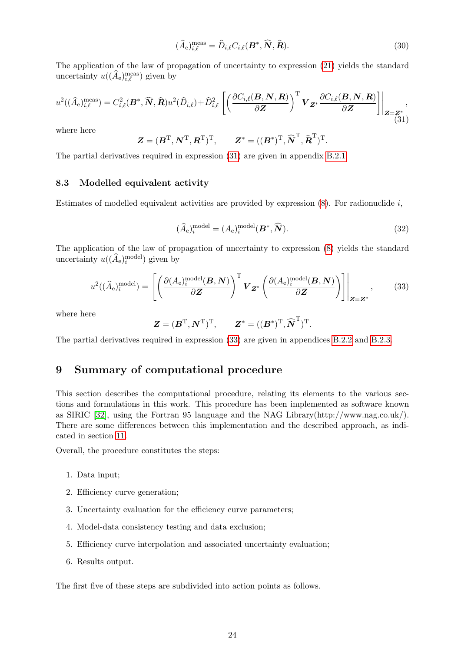$$
(\widehat{A}_{e})_{i,\ell}^{\text{meas}} = \widehat{D}_{i,\ell} C_{i,\ell}(\boldsymbol{B}^*, \widehat{\boldsymbol{N}}, \widehat{\boldsymbol{R}}).
$$
\n(30)

The application of the law of propagation of uncertainty to expression [\(21\)](#page-18-2) yields the standard uncertainty  $u((\widehat{A}_{e})_{i,\ell}^{\text{meas}})$  given by

<span id="page-27-2"></span>
$$
u^{2}((\widehat{A}_{e})_{i,\ell}^{\text{meas}}) = C_{i,\ell}^{2}(\boldsymbol{B}^{*},\widehat{\boldsymbol{N}},\widehat{\boldsymbol{R}})u^{2}(\widehat{D}_{i,\ell}) + \widehat{D}_{i,\ell}^{2}\left[\left(\frac{\partial C_{i,\ell}(\boldsymbol{B},\boldsymbol{N},\boldsymbol{R})}{\partial \boldsymbol{Z}}\right)^{\text{T}}\boldsymbol{V}_{\boldsymbol{Z}^{*}}\frac{\partial C_{i,\ell}(\boldsymbol{B},\boldsymbol{N},\boldsymbol{R})}{\partial \boldsymbol{Z}}\right]\bigg|_{\boldsymbol{Z}=\boldsymbol{Z}^{*}} , \tag{31}
$$

where here

$$
\mathbf{Z} = (\mathbf{B}^{\mathrm{T}}, \mathbf{N}^{\mathrm{T}}, \mathbf{R}^{\mathrm{T}})^{\mathrm{T}}, \qquad \mathbf{Z}^* = ((\mathbf{B}^*)^{\mathrm{T}}, \widehat{\mathbf{N}}^{\mathrm{T}}, \widehat{\mathbf{R}}^{\mathrm{T}})^{\mathrm{T}}.
$$

The partial derivatives required in expression [\(31\)](#page-27-2) are given in appendix [B.2.1.](#page-44-3)

### <span id="page-27-0"></span>8.3 Modelled equivalent activity

Estimates of modelled equivalent activities are provided by expression  $(8)$ . For radionuclide i,

$$
(\widehat{A}_{e})_{i}^{\text{model}} = (A_{e})_{i}^{\text{model}}(\mathbf{B}^{*}, \widehat{\mathbf{N}}). \tag{32}
$$

The application of the law of propagation of uncertainty to expression [\(8\)](#page-15-6) yields the standard uncertainty  $u((\widehat{A}_{e})_{i}^{\text{model}})$  given by

<span id="page-27-3"></span>
$$
u^{2}((\hat{A}_{e})_{i}^{\text{model}}) = \left[ \left( \frac{\partial (A_{e})_{i}^{\text{model}}(\mathbf{B}, \mathbf{N})}{\partial \mathbf{Z}} \right)^{\text{T}} \mathbf{V}_{\mathbf{Z}^{*}} \left( \frac{\partial (A_{e})_{i}^{\text{model}}(\mathbf{B}, \mathbf{N})}{\partial \mathbf{Z}} \right) \right] \Bigg|_{\mathbf{Z} = \mathbf{Z}^{*}},
$$
(33)

where here

$$
\mathbf{Z} = (\mathbf{B}^{\mathrm{T}}, \mathbf{N}^{\mathrm{T}})^{\mathrm{T}}, \qquad \mathbf{Z}^* = ((\mathbf{B}^*)^{\mathrm{T}}, \widehat{\mathbf{N}}^{\mathrm{T}})^{\mathrm{T}}.
$$

The partial derivatives required in expression [\(33\)](#page-27-3) are given in appendices [B.2.2](#page-45-0) and [B.2.3.](#page-45-1)

# <span id="page-27-1"></span>9 Summary of computational procedure

This section describes the computational procedure, relating its elements to the various sections and formulations in this work. This procedure has been implemented as software known as SIRIC [\[32\]](#page-38-0), using the Fortran 95 language and the NAG Library(http://www.nag.co.uk/). There are some differences between this implementation and the described approach, as indicated in section [11.](#page-35-0)

Overall, the procedure constitutes the steps:

- 1. Data input;
- 2. Efficiency curve generation;
- 3. Uncertainty evaluation for the efficiency curve parameters;
- 4. Model-data consistency testing and data exclusion;
- 5. Efficiency curve interpolation and associated uncertainty evaluation;
- 6. Results output.

The first five of these steps are subdivided into action points as follows.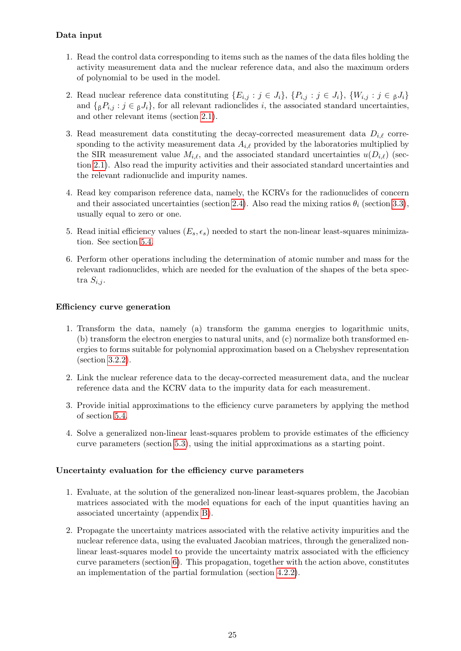# Data input

- 1. Read the control data corresponding to items such as the names of the data files holding the activity measurement data and the nuclear reference data, and also the maximum orders of polynomial to be used in the model.
- 2. Read nuclear reference data constituting  $\{E_{i,j} : j \in J_i\}$ ,  $\{P_{i,j} : j \in J_i\}$ ,  $\{W_{i,j} : j \in J_i\}$ and  $\{ {}_{\beta}P_i$ ;  $j \in {}_{\beta}J_i\}$ , for all relevant radionclides i, the associated standard uncertainties, and other relevant items (section [2.1\)](#page-11-1).
- 3. Read measurement data constituting the decay-corrected measurement data  $D_{i,\ell}$  corresponding to the activity measurement data  $A_{i,\ell}$  provided by the laboratories multiplied by the SIR measurement value  $M_{i,\ell}$ , and the associated standard uncertainties  $u(D_{i,\ell})$  (section [2.1\)](#page-11-1). Also read the impurity activities and their associated standard uncertainties and the relevant radionuclide and impurity names.
- 4. Read key comparison reference data, namely, the KCRVs for the radionuclides of concern and their associated uncertainties (section [2.4\)](#page-15-0). Also read the mixing ratios  $\theta_i$  (section [3.3\)](#page-17-1), usually equal to zero or one.
- 5. Read initial efficiency values  $(E_s, \epsilon_s)$  needed to start the non-linear least-squares minimization. See section [5.4.](#page-22-0)
- 6. Perform other operations including the determination of atomic number and mass for the relevant radionuclides, which are needed for the evaluation of the shapes of the beta spectra  $S_{i,j}$ .

# Efficiency curve generation

- 1. Transform the data, namely (a) transform the gamma energies to logarithmic units, (b) transform the electron energies to natural units, and (c) normalize both transformed energies to forms suitable for polynomial approximation based on a Chebyshev representation (section [3.2.2\)](#page-17-0).
- 2. Link the nuclear reference data to the decay-corrected measurement data, and the nuclear reference data and the KCRV data to the impurity data for each measurement.
- 3. Provide initial approximations to the efficiency curve parameters by applying the method of section [5.4.](#page-22-0)
- 4. Solve a generalized non-linear least-squares problem to provide estimates of the efficiency curve parameters (section [5.3\)](#page-21-3), using the initial approximations as a starting point.

## Uncertainty evaluation for the efficiency curve parameters

- 1. Evaluate, at the solution of the generalized non-linear least-squares problem, the Jacobian matrices associated with the model equations for each of the input quantities having an associated uncertainty (appendix [B\)](#page-44-0).
- 2. Propagate the uncertainty matrices associated with the relative activity impurities and the nuclear reference data, using the evaluated Jacobian matrices, through the generalized nonlinear least-squares model to provide the uncertainty matrix associated with the efficiency curve parameters (section [6\)](#page-22-1). This propagation, together with the action above, constitutes an implementation of the partial formulation (section [4.2.2\)](#page-20-0).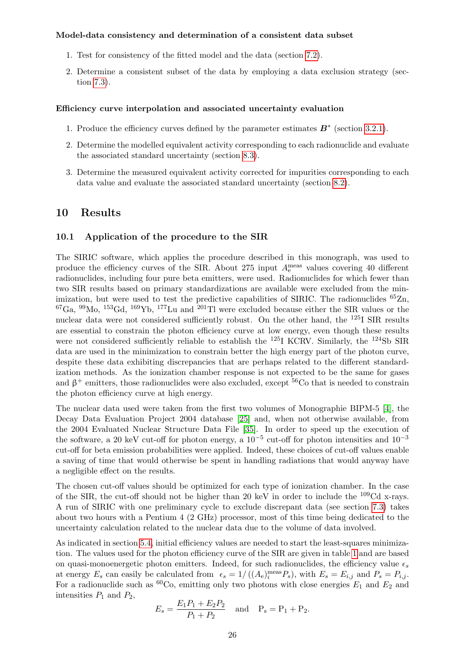### Model-data consistency and determination of a consistent data subset

- 1. Test for consistency of the fitted model and the data (section [7.2\)](#page-24-1).
- 2. Determine a consistent subset of the data by employing a data exclusion strategy (section [7.3\)](#page-25-0).

#### Efficiency curve interpolation and associated uncertainty evaluation

- 1. Produce the efficiency curves defined by the parameter estimates  $\mathbf{B}^*$  (section [3.2.1\)](#page-15-4).
- 2. Determine the modelled equivalent activity corresponding to each radionuclide and evaluate the associated standard uncertainty (section [8.3\)](#page-27-0).
- 3. Determine the measured equivalent activity corrected for impurities corresponding to each data value and evaluate the associated standard uncertainty (section [8.2\)](#page-26-3).

# <span id="page-29-0"></span>10 Results

#### <span id="page-29-1"></span>10.1 Application of the procedure to the SIR

The SIRIC software, which applies the procedure described in this monograph, was used to produce the efficiency curves of the SIR. About 275 input  $A_e^{\text{meas}}$  values covering 40 different radionuclides, including four pure beta emitters, were used. Radionuclides for which fewer than two SIR results based on primary standardizations are available were excluded from the minimization, but were used to test the predictive capabilities of SIRIC. The radionuclides  ${}^{65}Zn$ ,  ${}^{67}Ga$ ,  ${}^{99}Mo$ ,  ${}^{153}Gd$ ,  ${}^{169}Yb$ ,  ${}^{177}Lu$  and  ${}^{201}Tl$  were excluded because either the SIR values or the nuclear data were not considered sufficiently robust. On the other hand, the <sup>125</sup>I SIR results are essential to constrain the photon efficiency curve at low energy, even though these results were not considered sufficiently reliable to establish the  $^{125}$ I KCRV. Similarly, the  $^{124}$ Sb SIR data are used in the minimization to constrain better the high energy part of the photon curve, despite these data exhibiting discrepancies that are perhaps related to the different standardization methods. As the ionization chamber response is not expected to be the same for gases and  $\beta^+$  emitters, those radionuclides were also excluded, except <sup>56</sup>Co that is needed to constrain the photon efficiency curve at high energy.

The nuclear data used were taken from the first two volumes of Monographie BIPM-5 [\[4\]](#page-37-5), the Decay Data Evaluation Project 2004 database [\[25\]](#page-38-15) and, when not otherwise available, from the 2004 Evaluated Nuclear Structure Data File [\[35\]](#page-38-16). In order to speed up the execution of the software, a 20 keV cut-off for photon energy, a  $10^{-5}$  cut-off for photon intensities and  $10^{-3}$ cut-off for beta emission probabilities were applied. Indeed, these choices of cut-off values enable a saving of time that would otherwise be spent in handling radiations that would anyway have a negligible effect on the results.

The chosen cut-off values should be optimized for each type of ionization chamber. In the case of the SIR, the cut-off should not be higher than 20 keV in order to include the  $^{109}$ Cd x-rays. A run of SIRIC with one preliminary cycle to exclude discrepant data (see section [7.3\)](#page-25-0) takes about two hours with a Pentium 4 (2 GHz) processor, most of this time being dedicated to the uncertainty calculation related to the nuclear data due to the volume of data involved.

As indicated in section [5.4,](#page-22-0) initial efficiency values are needed to start the least-squares minimization. The values used for the photon efficiency curve of the SIR are given in table [1](#page-30-0) and are based on quasi-monoenergetic photon emitters. Indeed, for such radionuclides, the efficiency value  $\epsilon_s$ at energy  $E_s$  can easily be calculated from  $\epsilon_s = 1/((A_e)^{\text{meas}}_i P_s)$ , with  $E_s = E_{i,j}$  and  $P_s = P_{i,j}$ . For a radionuclide such as <sup>60</sup>Co, emitting only two photons with close energies  $E_1$  and  $E_2$  and intensities  $P_1$  and  $P_2$ ,

$$
E_s = \frac{E_1 P_1 + E_2 P_2}{P_1 + P_2}
$$
 and  $P_s = P_1 + P_2$ .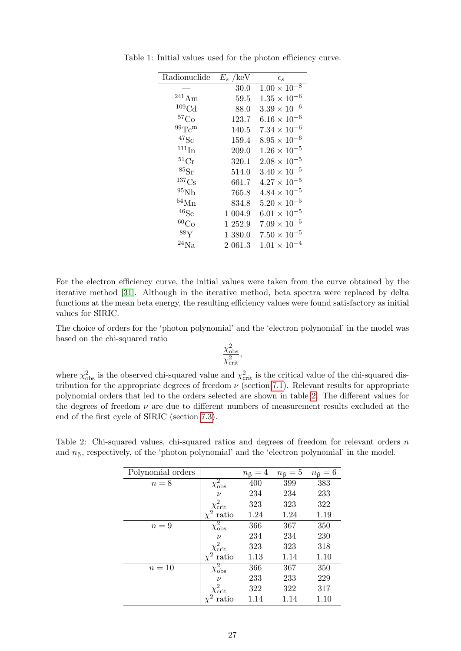<span id="page-30-0"></span>

| Radionuclide          | $E_s$ /keV | $\epsilon_{s}$        |
|-----------------------|------------|-----------------------|
|                       | 30.0       | $1.00 \times 10^{-8}$ |
| $^{241}Am$            | 59.5       | $1.35 \times 10^{-6}$ |
| ${}^{109}\mathrm{Cd}$ | 88.0       | $3.39 \times 10^{-6}$ |
| ${}^{57}Co$           | 123.7      | $6.16 \times 10^{-6}$ |
| $\rm{^{99}Tc^{m}}$    | 140.5      | $7.34 \times 10^{-6}$ |
| $\rm ^{47}Sc$         | 159.4      | $8.95 \times 10^{-6}$ |
| $111 \text{In}$       | 209.0      | $1.26 \times 10^{-5}$ |
| ${}^{51}\mathrm{Cr}$  | 320.1      | $2.08 \times 10^{-5}$ |
| $^{85}\mathrm{Sr}$    | 514.0      | $3.40 \times 10^{-5}$ |
| $^{137}\mathrm{Cs}$   | 661.7      | $4.27 \times 10^{-5}$ |
| $^{95}\mathrm{Nb}$    | 765.8      | $4.84 \times 10^{-5}$ |
| $^{54}{\rm Mn}$       | 834.8      | $5.20 \times 10^{-5}$ |
| $^{46}{\rm Sc}$       | 1 004.9    | $6.01 \times 10^{-5}$ |
| ${}^{60}Co$           | 1 252.9    | $7.09 \times 10^{-5}$ |
| $^{88}\mathrm{Y}$     | $1\,380.0$ | $7.50 \times 10^{-5}$ |
| $^{24}{\rm Na}$       | $2\;061.3$ | $1.01 \times 10^{-4}$ |

Table 1: Initial values used for the photon efficiency curve.

For the electron efficiency curve, the initial values were taken from the curve obtained by the iterative method [\[31\]](#page-38-3). Although in the iterative method, beta spectra were replaced by delta functions at the mean beta energy, the resulting efficiency values were found satisfactory as initial values for SIRIC.

The choice of orders for the 'photon polynomial' and the 'electron polynomial' in the model was based on the chi-squared ratio

$$
\frac{\chi^2_{\rm obs}}{\chi^2_{\rm crit}},
$$

where  $\chi^2_{obs}$  is the observed chi-squared value and  $\chi^2_{crit}$  is the critical value of the chi-squared distribution for the appropriate degrees of freedom  $\nu$  (section [7.1\)](#page-24-0). Relevant results for appropriate polynomial orders that led to the orders selected are shown in table [2.](#page-30-1) The different values for the degrees of freedom  $\nu$  are due to different numbers of measurement results excluded at the end of the first cycle of SIRIC (section [7.3\)](#page-25-0).

| Polynomial orders |                               | $n_{\beta}=4$ | $n_{\beta}=5$ | $n_{\beta}=6$ |
|-------------------|-------------------------------|---------------|---------------|---------------|
| $n=8$             | $\overline{\chi^2_{\rm obs}}$ | 400           | 399           | 383           |
|                   | $\nu$                         | 234           | 234           | 233           |
|                   | $\chi^2_{\rm crit}$           | 323           | 323           | 322           |
|                   | $\chi^2$ ratio                | 1.24          | 1.24          | 1.19          |
| $n=9$             | $\chi^2_{\rm obs}$            | 366           | 367           | 350           |
|                   | $\nu$                         | 234           | 234           | 230           |
|                   | $\chi^2_{\rm crit}$           | 323           | 323           | 318           |
|                   | ratio                         | 1.13          | 1.14          | 1.10          |
| $n=10$            | $\overline{\chi^2_{\rm obs}}$ | 366           | 367           | 350           |
|                   | $\nu$                         | 233           | 233           | 229           |
|                   | $\chi^2_{\rm crit}$           | 322           | 322           | 317           |
|                   | ratio                         | 1.14          | 1.14          | 1.10          |

<span id="page-30-1"></span>Table 2: Chi-squared values, chi-squared ratios and degrees of freedom for relevant orders n and  $n<sub>\beta</sub>$ , respectively, of the 'photon polynomial' and the 'electron polynomial' in the model.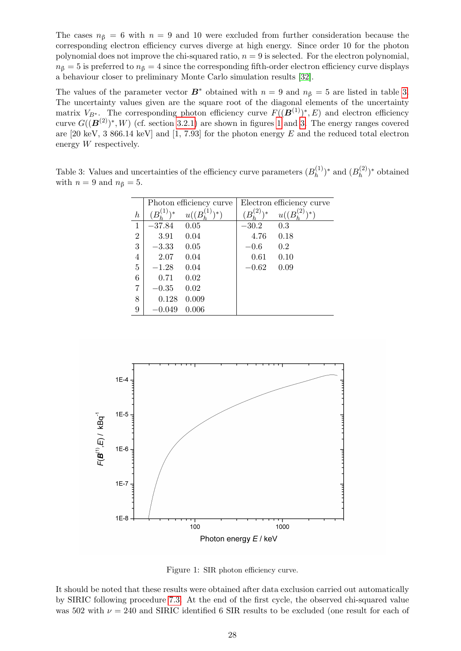The cases  $n<sub>\beta</sub> = 6$  with  $n = 9$  and 10 were excluded from further consideration because the corresponding electron efficiency curves diverge at high energy. Since order 10 for the photon polynomial does not improve the chi-squared ratio,  $n = 9$  is selected. For the electron polynomial,  $n<sub>\beta</sub> = 5$  is preferred to  $n<sub>\beta</sub> = 4$  since the corresponding fifth-order electron efficiency curve displays a behaviour closer to preliminary Monte Carlo simulation results [\[32\]](#page-38-0).

The values of the parameter vector  $\mathbf{B}^*$  obtained with  $n = 9$  and  $n<sub>\beta</sub> = 5$  are listed in table [3.](#page-31-0) The uncertainty values given are the square root of the diagonal elements of the uncertainty matrix  $V_{B^*}$ . The corresponding photon efficiency curve  $F((\mathbf{B}^{(1)})^*, E)$  and electron efficiency curve  $G((\mathbf{B}^{(2)})^*, W)$  (cf. section [3.2.1\)](#page-15-4) are shown in figures [1](#page-31-1) and [3.](#page-33-0) The energy ranges covered are  $[20 \text{ keV}, 3 \text{ 866.14 keV}]$  and  $[1, 7.93]$  for the photon energy E and the reduced total electron energy W respectively.

<span id="page-31-0"></span>Table 3: Values and uncertainties of the efficiency curve parameters  $(B_h^{(1)})$  $(b_h^{(1)})^*$  and  $(B_h^{(2)})$  $h^{(2)}$ <sup>\*</sup> obtained with  $n = 9$  and  $n<sub>\beta</sub> = 5$ .

|                  | Photon efficiency curve |                      | Electron efficiency curve  |      |
|------------------|-------------------------|----------------------|----------------------------|------|
| $\boldsymbol{h}$ | $\lambda *$             | $u((B,\mathcal{L}))$ | $\lambda *$<br>$B_{\cdot}$ | u(   |
| $\mathbf{1}$     | $-37.84$                | $0.05\,$             | $-30.2$                    | 0.3  |
| $\overline{2}$   | 3.91                    | 0.04                 | 4.76                       | 0.18 |
| 3                | $-3.33$                 | 0.05                 | $-0.6$                     | 0.2  |
| $\overline{4}$   | 2.07                    | 0.04                 | 0.61                       | 0.10 |
| $\overline{5}$   | $-1.28$                 | 0.04                 | $-0.62$                    | 0.09 |
| 6                | 0.71                    | 0.02                 |                            |      |
| 7                | $-0.35\,$               | 0.02                 |                            |      |
| 8                | 0.128                   | 0.009                |                            |      |
| 9                | $-0.049$                | 0.006                |                            |      |



<span id="page-31-1"></span>Figure 1: SIR photon efficiency curve.

It should be noted that these results were obtained after data exclusion carried out automatically by SIRIC following procedure [7.3.](#page-25-0) At the end of the first cycle, the observed chi-squared value was 502 with  $\nu = 240$  and SIRIC identified 6 SIR results to be excluded (one result for each of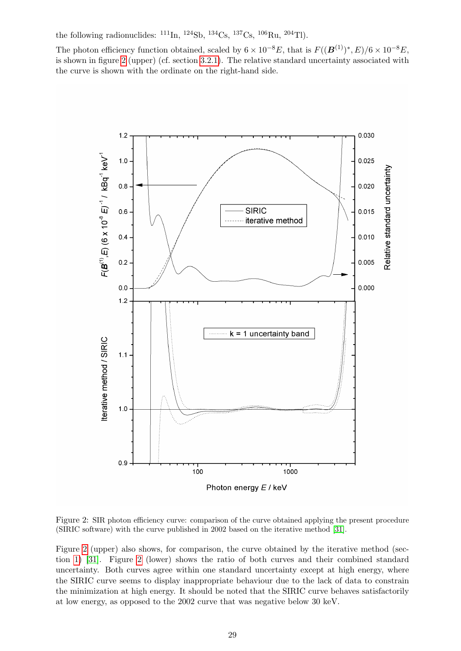the following radionuclides:  $^{111}$ In,  $^{124}$ Sb,  $^{134}$ Cs,  $^{137}$ Cs,  $^{106}$ Ru,  $^{204}$ Tl).

The photon efficiency function obtained, scaled by  $6 \times 10^{-8} E$ , that is  $F((\mathbf{B}^{(1)})^*, E)/6 \times 10^{-8} E$ , is shown in figure [2](#page-32-0) (upper) (cf. section [3.2.1\)](#page-15-4). The relative standard uncertainty associated with the curve is shown with the ordinate on the right-hand side.



<span id="page-32-0"></span>Figure 2: SIR photon efficiency curve: comparison of the curve obtained applying the present procedure (SIRIC software) with the curve published in 2002 based on the iterative method [\[31\]](#page-38-3).

Figure [2](#page-32-0) (upper) also shows, for comparison, the curve obtained by the iterative method (section [1\)](#page-7-0) [\[31\]](#page-38-3). Figure [2](#page-32-0) (lower) shows the ratio of both curves and their combined standard uncertainty. Both curves agree within one standard uncertainty except at high energy, where the SIRIC curve seems to display inappropriate behaviour due to the lack of data to constrain the minimization at high energy. It should be noted that the SIRIC curve behaves satisfactorily at low energy, as opposed to the 2002 curve that was negative below 30 keV.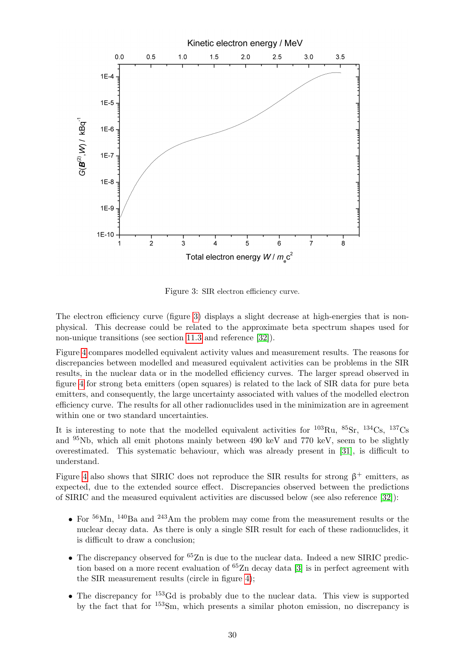

<span id="page-33-0"></span>Figure 3: SIR electron efficiency curve.

The electron efficiency curve (figure [3\)](#page-33-0) displays a slight decrease at high-energies that is nonphysical. This decrease could be related to the approximate beta spectrum shapes used for non-unique transitions (see section [11.3](#page-35-3) and reference [\[32\]](#page-38-0)).

Figure [4](#page-34-1) compares modelled equivalent activity values and measurement results. The reasons for discrepancies between modelled and measured equivalent activities can be problems in the SIR results, in the nuclear data or in the modelled efficiency curves. The larger spread observed in figure [4](#page-34-1) for strong beta emitters (open squares) is related to the lack of SIR data for pure beta emitters, and consequently, the large uncertainty associated with values of the modelled electron efficiency curve. The results for all other radionuclides used in the minimization are in agreement within one or two standard uncertainties.

It is interesting to note that the modelled equivalent activities for  $^{103}$ Ru,  $^{85}$ Sr,  $^{134}$ Cs,  $^{137}$ Cs and <sup>95</sup>Nb, which all emit photons mainly between 490 keV and 770 keV, seem to be slightly overestimated. This systematic behaviour, which was already present in [\[31\]](#page-38-3), is difficult to understand.

Figure [4](#page-34-1) also shows that SIRIC does not reproduce the SIR results for strong  $\beta^+$  emitters, as expected, due to the extended source effect. Discrepancies observed between the predictions of SIRIC and the measured equivalent activities are discussed below (see also reference [\[32\]](#page-38-0)):

- For  $56$ Mn,  $140$ Ba and  $243$ Am the problem may come from the measurement results or the nuclear decay data. As there is only a single SIR result for each of these radionuclides, it is difficult to draw a conclusion;
- The discrepancy observed for  ${}^{65}Zn$  is due to the nuclear data. Indeed a new SIRIC prediction based on a more recent evaluation of  ${}^{65}Zn$  decay data [\[3\]](#page-37-16) is in perfect agreement with the SIR measurement results (circle in figure [4\)](#page-34-1);
- The discrepancy for <sup>153</sup>Gd is probably due to the nuclear data. This view is supported by the fact that for <sup>153</sup>Sm, which presents a similar photon emission, no discrepancy is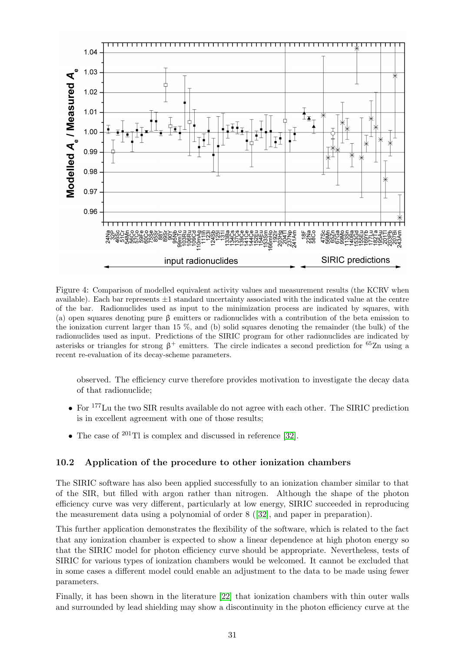

<span id="page-34-1"></span>Figure 4: Comparison of modelled equivalent activity values and measurement results (the KCRV when available). Each bar represents  $\pm 1$  standard uncertainty associated with the indicated value at the centre of the bar. Radionuclides used as input to the minimization process are indicated by squares, with (a) open squares denoting pure  $\beta$  emitters or radionuclides with a contribution of the beta emission to the ionization current larger than 15 %, and (b) solid squares denoting the remainder (the bulk) of the radionuclides used as input. Predictions of the SIRIC program for other radionuclides are indicated by asterisks or triangles for strong  $\beta^+$  emitters. The circle indicates a second prediction for <sup>65</sup>Zn using a recent re-evaluation of its decay-scheme parameters.

observed. The efficiency curve therefore provides motivation to investigate the decay data of that radionuclide;

- For <sup>177</sup>Lu the two SIR results available do not agree with each other. The SIRIC prediction is in excellent agreement with one of those results;
- The case of  $^{201}$ Tl is complex and discussed in reference [\[32\]](#page-38-0).

## <span id="page-34-0"></span>10.2 Application of the procedure to other ionization chambers

The SIRIC software has also been applied successfully to an ionization chamber similar to that of the SIR, but filled with argon rather than nitrogen. Although the shape of the photon efficiency curve was very different, particularly at low energy, SIRIC succeeded in reproducing the measurement data using a polynomial of order 8 ([\[32\]](#page-38-0), and paper in preparation).

This further application demonstrates the flexibility of the software, which is related to the fact that any ionization chamber is expected to show a linear dependence at high photon energy so that the SIRIC model for photon efficiency curve should be appropriate. Nevertheless, tests of SIRIC for various types of ionization chambers would be welcomed. It cannot be excluded that in some cases a different model could enable an adjustment to the data to be made using fewer parameters.

Finally, it has been shown in the literature [\[22\]](#page-38-17) that ionization chambers with thin outer walls and surrounded by lead shielding may show a discontinuity in the photon efficiency curve at the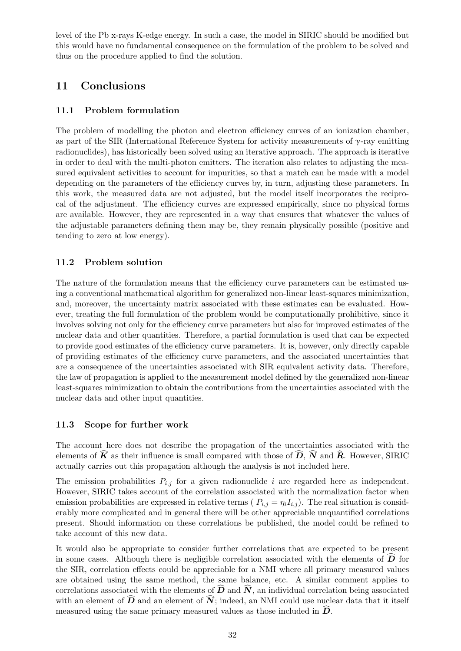level of the Pb x-rays K-edge energy. In such a case, the model in SIRIC should be modified but this would have no fundamental consequence on the formulation of the problem to be solved and thus on the procedure applied to find the solution.

# <span id="page-35-0"></span>11 Conclusions

# <span id="page-35-1"></span>11.1 Problem formulation

The problem of modelling the photon and electron efficiency curves of an ionization chamber, as part of the SIR (International Reference System for activity measurements of  $\gamma$ -ray emitting radionuclides), has historically been solved using an iterative approach. The approach is iterative in order to deal with the multi-photon emitters. The iteration also relates to adjusting the measured equivalent activities to account for impurities, so that a match can be made with a model depending on the parameters of the efficiency curves by, in turn, adjusting these parameters. In this work, the measured data are not adjusted, but the model itself incorporates the reciprocal of the adjustment. The efficiency curves are expressed empirically, since no physical forms are available. However, they are represented in a way that ensures that whatever the values of the adjustable parameters defining them may be, they remain physically possible (positive and tending to zero at low energy).

# <span id="page-35-2"></span>11.2 Problem solution

The nature of the formulation means that the efficiency curve parameters can be estimated using a conventional mathematical algorithm for generalized non-linear least-squares minimization, and, moreover, the uncertainty matrix associated with these estimates can be evaluated. However, treating the full formulation of the problem would be computationally prohibitive, since it involves solving not only for the efficiency curve parameters but also for improved estimates of the nuclear data and other quantities. Therefore, a partial formulation is used that can be expected to provide good estimates of the efficiency curve parameters. It is, however, only directly capable of providing estimates of the efficiency curve parameters, and the associated uncertainties that are a consequence of the uncertainties associated with SIR equivalent activity data. Therefore, the law of propagation is applied to the measurement model defined by the generalized non-linear least-squares minimization to obtain the contributions from the uncertainties associated with the nuclear data and other input quantities.

# <span id="page-35-3"></span>11.3 Scope for further work

The account here does not describe the propagation of the uncertainties associated with the elements of  $\widehat{K}$  as their influence is small compared with those of  $\widehat{D}$ ,  $\widehat{N}$  and  $\widehat{R}$ . However, SIRIC actually carries out this propagation although the analysis is not included here.

The emission probabilities  $P_{i,j}$  for a given radionuclide i are regarded here as independent. However, SIRIC takes account of the correlation associated with the normalization factor when emission probabilities are expressed in relative terms ( $P_{i,j} = \eta_i I_{i,j}$ ). The real situation is considerably more complicated and in general there will be other appreciable unquantified correlations present. Should information on these correlations be published, the model could be refined to take account of this new data.

It would also be appropriate to consider further correlations that are expected to be present in some cases. Although there is negligible correlation associated with the elements of  $\bm{D}$  for the SIR, correlation effects could be appreciable for a NMI where all primary measured values are obtained using the same method, the same balance, etc. A similar comment applies to correlations associated with the elements of  $\widehat{D}$  and  $\widehat{N}$ , an individual correlation being associated with an element of  $\widehat{D}$  and an element of  $\widehat{N}$ ; indeed, an NMI could use nuclear data that it itself measured using the same primary measured values as those included in  $\bm{D}$ .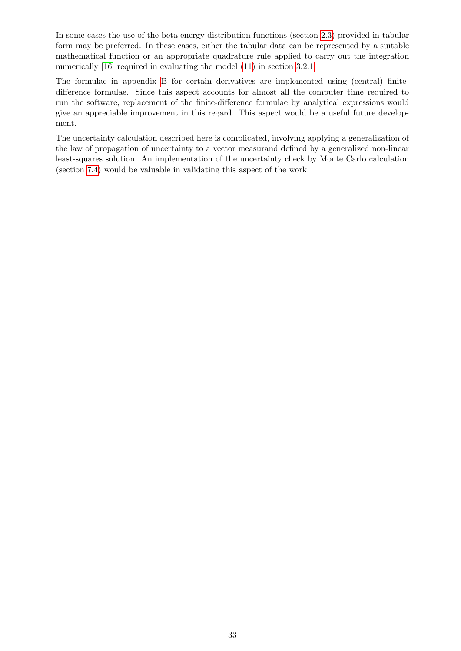In some cases the use of the beta energy distribution functions (section [2.3\)](#page-14-0) provided in tabular form may be preferred. In these cases, either the tabular data can be represented by a suitable mathematical function or an appropriate quadrature rule applied to carry out the integration numerically [\[16\]](#page-37-17) required in evaluating the model [\(11\)](#page-17-6) in section [3.2.1.](#page-15-4)

The formulae in appendix [B](#page-44-0) for certain derivatives are implemented using (central) finitedifference formulae. Since this aspect accounts for almost all the computer time required to run the software, replacement of the finite-difference formulae by analytical expressions would give an appreciable improvement in this regard. This aspect would be a useful future development.

The uncertainty calculation described here is complicated, involving applying a generalization of the law of propagation of uncertainty to a vector measurand defined by a generalized non-linear least-squares solution. An implementation of the uncertainty check by Monte Carlo calculation (section [7.4\)](#page-25-1) would be valuable in validating this aspect of the work.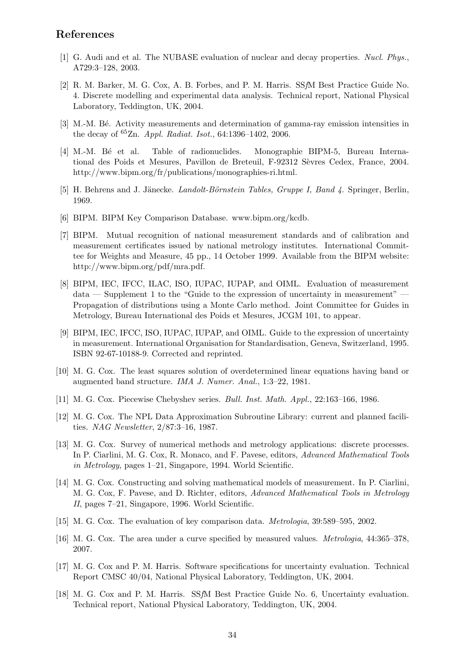# References

- <span id="page-37-10"></span>[1] G. Audi and et al. The NUBASE evaluation of nuclear and decay properties. Nucl. Phys., A729:3–128, 2003.
- <span id="page-37-1"></span>[2] R. M. Barker, M. G. Cox, A. B. Forbes, and P. M. Harris. SSfM Best Practice Guide No. 4. Discrete modelling and experimental data analysis. Technical report, National Physical Laboratory, Teddington, UK, 2004.
- <span id="page-37-16"></span>[3] M.-M. Bé. Activity measurements and determination of gamma-ray emission intensities in the decay of  ${}^{65}Zn$ . *Appl. Radiat. Isot.*, 64:1396-1402, 2006.
- <span id="page-37-5"></span>[4] M.-M. B´e et al. Table of radionuclides. Monographie BIPM-5, Bureau International des Poids et Mesures, Pavillon de Breteuil, F-92312 Sèvres Cedex, France, 2004. http://www.bipm.org/fr/publications/monographies-ri.html.
- <span id="page-37-6"></span>[5] H. Behrens and J. Jänecke. *Landolt-Börnstein Tables, Gruppe I, Band 4*. Springer, Berlin, 1969.
- <span id="page-37-7"></span>[6] BIPM. BIPM Key Comparison Database. www.bipm.org/kcdb.
- <span id="page-37-0"></span>[7] BIPM. Mutual recognition of national measurement standards and of calibration and measurement certificates issued by national metrology institutes. International Committee for Weights and Measure, 45 pp., 14 October 1999. Available from the BIPM website: http://www.bipm.org/pdf/mra.pdf.
- <span id="page-37-4"></span>[8] BIPM, IEC, IFCC, ILAC, ISO, IUPAC, IUPAP, and OIML. Evaluation of measurement data — Supplement 1 to the "Guide to the expression of uncertainty in measurement" Propagation of distributions using a Monte Carlo method. Joint Committee for Guides in Metrology, Bureau International des Poids et Mesures, JCGM 101, to appear.
- <span id="page-37-3"></span>[9] BIPM, IEC, IFCC, ISO, IUPAC, IUPAP, and OIML. Guide to the expression of uncertainty in measurement. International Organisation for Standardisation, Geneva, Switzerland, 1995. ISBN 92-67-10188-9. Corrected and reprinted.
- <span id="page-37-11"></span>[10] M. G. Cox. The least squares solution of overdetermined linear equations having band or augmented band structure. IMA J. Numer. Anal., 1:3–22, 1981.
- <span id="page-37-9"></span>[11] M. G. Cox. Piecewise Chebyshev series. Bull. Inst. Math. Appl., 22:163–166, 1986.
- <span id="page-37-12"></span>[12] M. G. Cox. The NPL Data Approximation Subroutine Library: current and planned facilities. NAG Newsletter, 2/87:3–16, 1987.
- <span id="page-37-14"></span>[13] M. G. Cox. Survey of numerical methods and metrology applications: discrete processes. In P. Ciarlini, M. G. Cox, R. Monaco, and F. Pavese, editors, Advanced Mathematical Tools in Metrology, pages 1–21, Singapore, 1994. World Scientific.
- <span id="page-37-8"></span>[14] M. G. Cox. Constructing and solving mathematical models of measurement. In P. Ciarlini, M. G. Cox, F. Pavese, and D. Richter, editors, Advanced Mathematical Tools in Metrology II, pages 7–21, Singapore, 1996. World Scientific.
- <span id="page-37-15"></span>[15] M. G. Cox. The evaluation of key comparison data. Metrologia, 39:589–595, 2002.
- <span id="page-37-17"></span>[16] M. G. Cox. The area under a curve specified by measured values. Metrologia, 44:365–378, 2007.
- <span id="page-37-13"></span>[17] M. G. Cox and P. M. Harris. Software specifications for uncertainty evaluation. Technical Report CMSC 40/04, National Physical Laboratory, Teddington, UK, 2004.
- <span id="page-37-2"></span>[18] M. G. Cox and P. M. Harris. SSfM Best Practice Guide No. 6, Uncertainty evaluation. Technical report, National Physical Laboratory, Teddington, UK, 2004.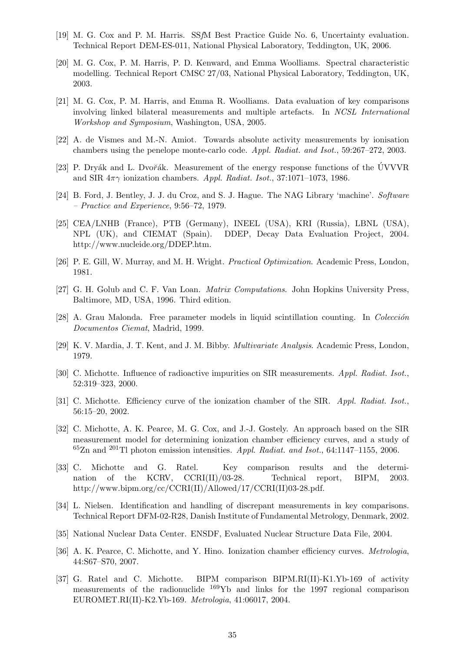- <span id="page-38-6"></span>[19] M. G. Cox and P. M. Harris. SSfM Best Practice Guide No. 6, Uncertainty evaluation. Technical Report DEM-ES-011, National Physical Laboratory, Teddington, UK, 2006.
- <span id="page-38-9"></span>[20] M. G. Cox, P. M. Harris, P. D. Kenward, and Emma Woolliams. Spectral characteristic modelling. Technical Report CMSC 27/03, National Physical Laboratory, Teddington, UK, 2003.
- <span id="page-38-14"></span>[21] M. G. Cox, P. M. Harris, and Emma R. Woolliams. Data evaluation of key comparisons involving linked bilateral measurements and multiple artefacts. In NCSL International Workshop and Symposium, Washington, USA, 2005.
- <span id="page-38-17"></span>[22] A. de Vismes and M.-N. Amiot. Towards absolute activity measurements by ionisation chambers using the penelope monte-carlo code. Appl. Radiat. and Isot., 59:267–272, 2003.
- <span id="page-38-4"></span>[23] P. Dryák and L. Dvořák. Measurement of the energy response functions of the ÚVVVR and SIR  $4\pi\gamma$  ionization chambers. Appl. Radiat. Isot., 37:1071–1073, 1986.
- <span id="page-38-11"></span>[24] B. Ford, J. Bentley, J. J. du Croz, and S. J. Hague. The NAG Library 'machine'. Software – Practice and Experience, 9:56–72, 1979.
- <span id="page-38-15"></span>[25] CEA/LNHB (France), PTB (Germany), INEEL (USA), KRI (Russia), LBNL (USA), NPL (UK), and CIEMAT (Spain). DDEP, Decay Data Evaluation Project, 2004. http://www.nucleide.org/DDEP.htm.
- <span id="page-38-10"></span>[26] P. E. Gill, W. Murray, and M. H. Wright. Practical Optimization. Academic Press, London, 1981.
- <span id="page-38-18"></span>[27] G. H. Golub and C. F. Van Loan. Matrix Computations. John Hopkins University Press, Baltimore, MD, USA, 1996. Third edition.
- <span id="page-38-7"></span>[28] A. Grau Malonda. Free parameter models in liquid scintillation counting. In Colección Documentos Ciemat, Madrid, 1999.
- <span id="page-38-5"></span>[29] K. V. Mardia, J. T. Kent, and J. M. Bibby. Multivariate Analysis. Academic Press, London, 1979.
- <span id="page-38-1"></span>[30] C. Michotte. Influence of radioactive impurities on SIR measurements. Appl. Radiat. Isot., 52:319–323, 2000.
- <span id="page-38-3"></span>[31] C. Michotte. Efficiency curve of the ionization chamber of the SIR. Appl. Radiat. Isot., 56:15–20, 2002.
- <span id="page-38-0"></span>[32] C. Michotte, A. K. Pearce, M. G. Cox, and J.-J. Gostely. An approach based on the SIR measurement model for determining ionization chamber efficiency curves, and a study of  $65Zn$  and  $201Tl$  photon emission intensities. Appl. Radiat. and Isot., 64:1147–1155, 2006.
- <span id="page-38-13"></span>[33] C. Michotte and G. Ratel. Key comparison results and the determination of the KCRV, CCRI(II)/03-28. Technical report, BIPM, 2003. http://www.bipm.org/cc/CCRI(II)/Allowed/17/CCRI(II)03-28.pdf.
- <span id="page-38-12"></span>[34] L. Nielsen. Identification and handling of discrepant measurements in key comparisons. Technical Report DFM-02-R28, Danish Institute of Fundamental Metrology, Denmark, 2002.
- <span id="page-38-16"></span>[35] National Nuclear Data Center. ENSDF, Evaluated Nuclear Structure Data File, 2004.
- <span id="page-38-2"></span>[36] A. K. Pearce, C. Michotte, and Y. Hino. Ionization chamber efficiency curves. *Metrologia*, 44:S67–S70, 2007.
- <span id="page-38-8"></span>[37] G. Ratel and C. Michotte. BIPM comparison BIPM.RI(II)-K1.Yb-169 of activity measurements of the radionuclide <sup>169</sup>Yb and links for the 1997 regional comparison EUROMET.RI(II)-K2.Yb-169. Metrologia, 41:06017, 2004.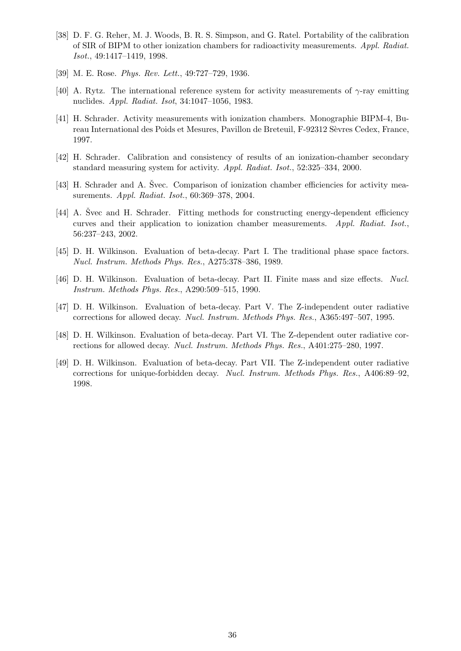- <span id="page-39-1"></span>[38] D. F. G. Reher, M. J. Woods, B. R. S. Simpson, and G. Ratel. Portability of the calibration of SIR of BIPM to other ionization chambers for radioactivity measurements. Appl. Radiat. Isot., 49:1417–1419, 1998.
- <span id="page-39-11"></span>[39] M. E. Rose. Phys. Rev. Lett., 49:727–729, 1936.
- <span id="page-39-0"></span>[40] A. Rytz. The international reference system for activity measurements of  $\gamma$ -ray emitting nuclides. Appl. Radiat. Isot, 34:1047–1056, 1983.
- <span id="page-39-2"></span>[41] H. Schrader. Activity measurements with ionization chambers. Monographie BIPM-4, Bureau International des Poids et Mesures, Pavillon de Breteuil, F-92312 Sèvres Cedex, France, 1997.
- <span id="page-39-3"></span>[42] H. Schrader. Calibration and consistency of results of an ionization-chamber secondary standard measuring system for activity. Appl. Radiat. Isot., 52:325–334, 2000.
- <span id="page-39-4"></span>[43] H. Schrader and A. Svec. Comparison of ionization chamber efficiencies for activity measurements. Appl. Radiat. Isot., 60:369–378, 2004.
- <span id="page-39-5"></span>[44] A. Svec and H. Schrader. Fitting methods for constructing energy-dependent efficiency curves and their application to ionization chamber measurements. Appl. Radiat. Isot., 56:237–243, 2002.
- <span id="page-39-6"></span>[45] D. H. Wilkinson. Evaluation of beta-decay. Part I. The traditional phase space factors. Nucl. Instrum. Methods Phys. Res., A275:378–386, 1989.
- <span id="page-39-7"></span>[46] D. H. Wilkinson. Evaluation of beta-decay. Part II. Finite mass and size effects. Nucl. Instrum. Methods Phys. Res., A290:509–515, 1990.
- <span id="page-39-8"></span>[47] D. H. Wilkinson. Evaluation of beta-decay. Part V. The Z-independent outer radiative corrections for allowed decay. Nucl. Instrum. Methods Phys. Res., A365:497–507, 1995.
- <span id="page-39-9"></span>[48] D. H. Wilkinson. Evaluation of beta-decay. Part VI. The Z-dependent outer radiative corrections for allowed decay. Nucl. Instrum. Methods Phys. Res., A401:275–280, 1997.
- <span id="page-39-10"></span>[49] D. H. Wilkinson. Evaluation of beta-decay. Part VII. The Z-independent outer radiative corrections for unique-forbidden decay. Nucl. Instrum. Methods Phys. Res., A406:89–92, 1998.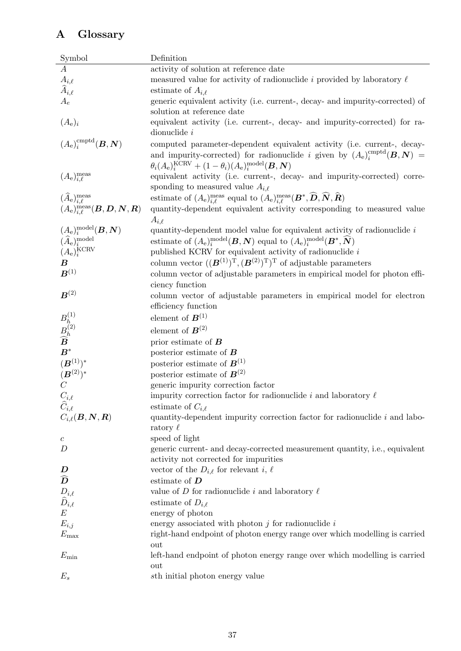# <span id="page-40-0"></span>A Glossary

| Symbol                                                                                                                                                                       | Definition                                                                                                                                                                                                                               |
|------------------------------------------------------------------------------------------------------------------------------------------------------------------------------|------------------------------------------------------------------------------------------------------------------------------------------------------------------------------------------------------------------------------------------|
| $\overline{A}$                                                                                                                                                               | activity of solution at reference date                                                                                                                                                                                                   |
|                                                                                                                                                                              | measured value for activity of radionuclide i provided by laboratory $\ell$                                                                                                                                                              |
| $A_{i,\ell} \atop \widehat{A}_{i,\ell}$                                                                                                                                      | estimate of $A_{i.\ell}$                                                                                                                                                                                                                 |
| $A_e$                                                                                                                                                                        | generic equivalent activity (i.e. current-, decay- and impurity-corrected) of                                                                                                                                                            |
|                                                                                                                                                                              | solution at reference date                                                                                                                                                                                                               |
| $(A_e)_i$                                                                                                                                                                    | equivalent activity (i.e. current-, decay- and impurity-corrected) for ra-<br>dionuclide $i$                                                                                                                                             |
| $(A_e)^{\text{cmptd}}_i(B, N)$                                                                                                                                               | computed parameter-dependent equivalent activity (i.e. current-, decay-<br>and impurity-corrected) for radionuclide i given by $(A_e)^{cmptd}_i(B, N)$ =<br>$\theta_i(A_e)_i^{\text{KCRV}} + (1 - \theta_i)(A_e)_i^{\text{model}}(B, N)$ |
| $(A_e)_{i,\ell}^{\text{meas}}$                                                                                                                                               | equivalent activity (i.e. current-, decay- and impurity-corrected) corre-                                                                                                                                                                |
|                                                                                                                                                                              | sponding to measured value $A_{i,\ell}$                                                                                                                                                                                                  |
| $(\widehat{A}_{e})_{i,\ell}^{\text{meas}}$                                                                                                                                   | estimate of $(A_e)_{i,\ell}^{\text{meas}}$ equal to $(A_e)_{i,\ell}^{\text{meas}}(\mathbf{B}^*,\widehat{\mathbf{D}},\widehat{\mathbf{N}},\widehat{\mathbf{R}})$                                                                          |
| $(A_e)_{i,\ell}^{\text{meas}}(\boldsymbol{B},\boldsymbol{D},\boldsymbol{N},\boldsymbol{R})$                                                                                  | quantity-dependent equivalent activity corresponding to measured value                                                                                                                                                                   |
|                                                                                                                                                                              | $A_{i,\ell}$                                                                                                                                                                                                                             |
| $(A_\mathrm{e})^\mathrm{model}_i(\boldsymbol{B},\boldsymbol{N}) \ (\widehat{A}_\mathrm{e})^\mathrm{model}_i(\boldsymbol{B},\boldsymbol{N}) \ (A_\mathrm{e})^\mathrm{KCRV}_i$ | quantity-dependent model value for equivalent activity of radionuclide $i$<br>estimate of $(A_e)_i^{\text{model}}(B, N)$ equal to $(A_e)_i^{\text{model}}(B^*, \widehat{N})$                                                             |
|                                                                                                                                                                              | published KCRV for equivalent activity of radionuclide $i$                                                                                                                                                                               |
| $\boldsymbol{B}$                                                                                                                                                             | column vector $((\mathbf{B}^{(1)})^T, (\mathbf{B}^{(2)})^T)^T$ of adjustable parameters                                                                                                                                                  |
| $\boldsymbol{B}^{(1)}$                                                                                                                                                       | column vector of adjustable parameters in empirical model for photon effi-                                                                                                                                                               |
|                                                                                                                                                                              | ciency function                                                                                                                                                                                                                          |
| $\boldsymbol{B}^{(2)}$                                                                                                                                                       | column vector of adjustable parameters in empirical model for electron<br>efficiency function                                                                                                                                            |
|                                                                                                                                                                              | element of $B^{(1)}$                                                                                                                                                                                                                     |
| $\overset{B_ h^{(1)}}{\overset{B_ h^{(2)}}{\widetilde{B}}}$                                                                                                                  |                                                                                                                                                                                                                                          |
|                                                                                                                                                                              | element of $B^{(2)}$                                                                                                                                                                                                                     |
|                                                                                                                                                                              | prior estimate of $\boldsymbol{B}$                                                                                                                                                                                                       |
| $\boldsymbol{B}^*$                                                                                                                                                           | posterior estimate of $B$                                                                                                                                                                                                                |
| $(\boldsymbol{B}^{(1)})^*$                                                                                                                                                   | posterior estimate of $\mathbf{B}^{(1)}$                                                                                                                                                                                                 |
| $(B^{(2)})^*$                                                                                                                                                                | posterior estimate of $B^{(2)}$                                                                                                                                                                                                          |
|                                                                                                                                                                              | generic impurity correction factor                                                                                                                                                                                                       |
| $C_{i,\ell}$                                                                                                                                                                 | impurity correction factor for radionuclide i and laboratory $\ell$                                                                                                                                                                      |
| $\widehat{C}_{i,\ell}$                                                                                                                                                       | estimate of $C_{i,\ell}$                                                                                                                                                                                                                 |
| $C_{i,\ell}(\boldsymbol{B},\boldsymbol{N},\boldsymbol{R})$                                                                                                                   | quantity-dependent impurity correction factor for radionuclide $i$ and labo-<br>ratory $\ell$                                                                                                                                            |
| $\mathcal{C}_{\mathcal{C}}$                                                                                                                                                  | speed of light                                                                                                                                                                                                                           |
| D                                                                                                                                                                            | generic current- and decay-corrected measurement quantity, i.e., equivalent                                                                                                                                                              |
|                                                                                                                                                                              | activity not corrected for impurities                                                                                                                                                                                                    |
| D                                                                                                                                                                            | vector of the $D_{i,\ell}$ for relevant i, $\ell$                                                                                                                                                                                        |
| $\widehat{D}$                                                                                                                                                                | estimate of $D$                                                                                                                                                                                                                          |
| $\overset{D_{i,\ell}}{D_{i,\ell}}$                                                                                                                                           | value of $D$ for radionuclide i and laboratory $\ell$                                                                                                                                                                                    |
|                                                                                                                                                                              | estimate of $D_{i,\ell}$                                                                                                                                                                                                                 |
| $\cal E$                                                                                                                                                                     | energy of photon                                                                                                                                                                                                                         |
| $E_{i,j}$                                                                                                                                                                    | energy associated with photon $j$ for radionuclide $i$                                                                                                                                                                                   |
| $E_{\rm max}$                                                                                                                                                                | right-hand endpoint of photon energy range over which modelling is carried                                                                                                                                                               |
|                                                                                                                                                                              | $_{\rm out}$                                                                                                                                                                                                                             |
| $E_{\rm min}$                                                                                                                                                                | left-hand endpoint of photon energy range over which modelling is carried                                                                                                                                                                |
|                                                                                                                                                                              | out                                                                                                                                                                                                                                      |
| $E_s$                                                                                                                                                                        | sth initial photon energy value                                                                                                                                                                                                          |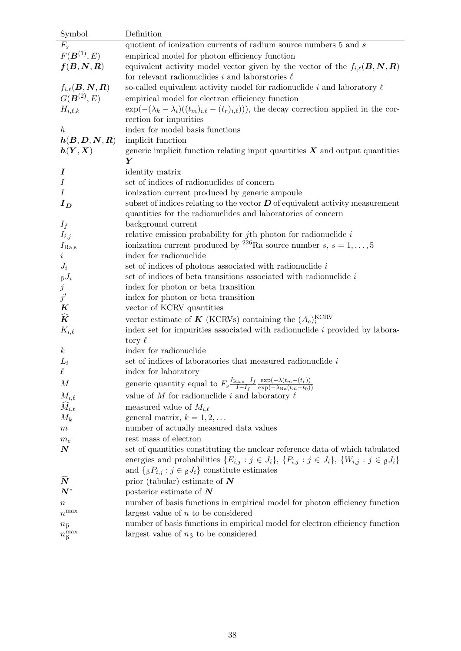| Symbol                                                         | Definition                                                                                                                             |
|----------------------------------------------------------------|----------------------------------------------------------------------------------------------------------------------------------------|
| $F_s$                                                          | quotient of ionization currents of radium source numbers 5 and s                                                                       |
| $F(\bm{B}^{(1)},E)$                                            | empirical model for photon efficiency function                                                                                         |
| $\boldsymbol{f}(\boldsymbol{B},\boldsymbol{N},\boldsymbol{R})$ | equivalent activity model vector given by the vector of the $f_{i,\ell}(B, N, R)$                                                      |
|                                                                | for relevant radionuclides i and laboratories $\ell$                                                                                   |
| $f_{i,\ell}(\boldsymbol{B},\boldsymbol{N},\boldsymbol{R})$     | so-called equivalent activity model for radionuclide i and laboratory $\ell$                                                           |
| $G(\bm{B}^{(2)},E)$                                            | empirical model for electron efficiency function                                                                                       |
| $H_{i,\ell,k}$                                                 | $\exp(-(\lambda_k - \lambda_i)((t_m)_{i,\ell} - (t_r)_{i,\ell})))$ , the decay correction applied in the cor-                          |
|                                                                | rection for impurities                                                                                                                 |
| $\boldsymbol{h}$                                               | index for model basis functions                                                                                                        |
| h(B,D,N,R)                                                     | implicit function                                                                                                                      |
| $\bm{h}(\bm{Y},\bm{X})$                                        | generic implicit function relating input quantities $X$ and output quantities                                                          |
|                                                                | Y                                                                                                                                      |
| $\bm{I}$                                                       | identity matrix                                                                                                                        |
| $\overline{I}$                                                 | set of indices of radionuclides of concern                                                                                             |
| $\overline{I}$                                                 | ionization current produced by generic ampoule                                                                                         |
| $I_D$                                                          | subset of indices relating to the vector $D$ of equivalent activity measurement                                                        |
|                                                                | quantities for the radionuclides and laboratories of concern                                                                           |
| $I_f$                                                          | background current                                                                                                                     |
| $I_{i,j}$                                                      | relative emission probability for $j$ th photon for radionuclide $i$                                                                   |
| $I_{\rm Ra,s}$                                                 | ionization current produced by <sup>226</sup> Ra source number s, $s = 1, , 5$                                                         |
| $\it i$                                                        | index for radionuclide                                                                                                                 |
| $J_i$                                                          | set of indices of photons associated with radionuclide $i$                                                                             |
|                                                                | set of indices of beta transitions associated with radionuclide i                                                                      |
| $\int\limits_{j}^{\beta} J_i$                                  | index for photon or beta transition                                                                                                    |
| $j^\prime$                                                     | index for photon or beta transition                                                                                                    |
| $\boldsymbol{K}$                                               | vector of KCRV quantities                                                                                                              |
| $\widehat{\bm{K}}$                                             | vector estimate of <b>K</b> (KCRVs) containing the $(A_e)_i^{\text{KCRV}}$                                                             |
| $K_{i,\ell}$                                                   | index set for impurities associated with radionuclide $i$ provided by labora-                                                          |
|                                                                | tory $\ell$                                                                                                                            |
| $\boldsymbol{k}$                                               | index for radionuclide                                                                                                                 |
| $L_i$                                                          | set of indices of laboratories that measured radionuclide $i$                                                                          |
| $\ell$                                                         | index for laboratory                                                                                                                   |
| $\boldsymbol{M}$                                               | generic quantity equal to $F_s \frac{I_{\text{Ra,s}}-I_f}{I-I_f} \frac{\exp(-\lambda(t_m-(t_r))}{\exp(-\lambda_{\text{Ra}}(t_m-t_0))}$ |
| $M_{i,\ell}$                                                   | value of M for radionuclide i and laboratory $\ell$                                                                                    |
| $\widehat{M}_{i,\ell}$                                         | measured value of $M_{i,\ell}$                                                                                                         |
| $M_k$                                                          | general matrix, $k = 1, 2, \ldots$                                                                                                     |
| $\,m$                                                          | number of actually measured data values                                                                                                |
| $m_{\rm e}$                                                    | rest mass of electron                                                                                                                  |
| $\boldsymbol{N}$                                               | set of quantities constituting the nuclear reference data of which tabulated                                                           |
|                                                                | energies and probabilities $\{E_{i,j} : j \in J_i\}$ , $\{P_{i,j} : j \in J_i\}$ , $\{W_{i,j} : j \in J_i\}$                           |
|                                                                | and $\{ \beta P_{i,j} : j \in \beta J_i \}$ constitute estimates                                                                       |
| $\tilde{\bm{N}}$                                               | prior (tabular) estimate of $N$                                                                                                        |
| $\boldsymbol{N}^*$                                             | posterior estimate of $N$                                                                                                              |
| $\, n$                                                         | number of basis functions in empirical model for photon efficiency function                                                            |
| $n^{\max}$                                                     | largest value of $n$ to be considered                                                                                                  |
| $n_{\beta}$                                                    | number of basis functions in empirical model for electron efficiency function                                                          |
| $n_{\beta}^{\text{max}}$                                       | largest value of $n\beta$ to be considered                                                                                             |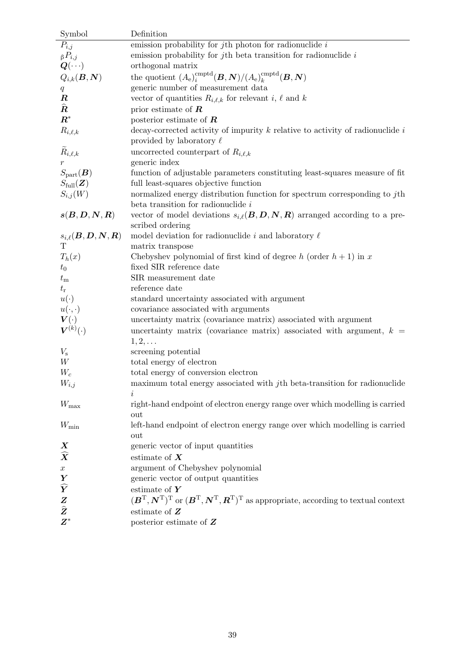| Symbol                                                                    | Definition                                                                                                                                                     |
|---------------------------------------------------------------------------|----------------------------------------------------------------------------------------------------------------------------------------------------------------|
| $P_{i,j}$                                                                 | emission probability for $j$ th photon for radionuclide $i$                                                                                                    |
| $\beta P_{i,j}$                                                           | emission probability for jth beta transition for radionuclide $i$                                                                                              |
| $\bm{Q}(\cdots)$                                                          | orthogonal matrix                                                                                                                                              |
| $Q_{i,k}(\boldsymbol{B},\boldsymbol{N})$                                  | the quotient $(A_e)^{\text{cmptd}}_i(B, N)/(A_e)^{\text{cmptd}}_k(B, N)$                                                                                       |
| $q_{\parallel}$                                                           | generic number of measurement data                                                                                                                             |
| $\boldsymbol{R}$                                                          | vector of quantities $R_{i,\ell,k}$ for relevant i, $\ell$ and k                                                                                               |
| $\widehat{\bm{R}}$                                                        | prior estimate of $R$                                                                                                                                          |
| $\boldsymbol{R}^*$                                                        | posterior estimate of $\boldsymbol{R}$                                                                                                                         |
| $R_{i,\ell,k}$                                                            | decay-corrected activity of impurity $k$ relative to activity of radionuclide $i$                                                                              |
|                                                                           | provided by laboratory $\ell$                                                                                                                                  |
| $\tilde{R}_{i,\ell,k}$                                                    | uncorrected counterpart of $R_{i,\ell,k}$                                                                                                                      |
|                                                                           | generic index                                                                                                                                                  |
| $S_{\rm part}(\boldsymbol{B})$                                            | function of adjustable parameters constituting least-squares measure of fit                                                                                    |
| $S_{\text{full}}(\boldsymbol{Z})$                                         | full least-squares objective function                                                                                                                          |
| $S_{i,j}(W)$                                                              | normalized energy distribution function for spectrum corresponding to $j$ th                                                                                   |
|                                                                           | beta transition for radionuclide $i$                                                                                                                           |
| $\bm{s}(\bm{B},\bm{D},\bm{N},\bm{R})$                                     | vector of model deviations $s_{i,\ell}(B, D, N, R)$ arranged according to a pre-                                                                               |
|                                                                           | scribed ordering                                                                                                                                               |
| $s_{i,\ell}(\boldsymbol{B},\boldsymbol{D},\boldsymbol{N},\boldsymbol{R})$ | model deviation for radionuclide i and laboratory $\ell$                                                                                                       |
|                                                                           | matrix transpose                                                                                                                                               |
| $T_h(x)$                                                                  | Chebyshev polynomial of first kind of degree h (order $h + 1$ ) in x                                                                                           |
| $t_{0}$                                                                   | fixed SIR reference date                                                                                                                                       |
| $t_{\rm m}$                                                               | SIR measurement date                                                                                                                                           |
| $t_{\rm r}$                                                               | reference date                                                                                                                                                 |
| $u(\cdot)$                                                                | standard uncertainty associated with argument                                                                                                                  |
| $u(\cdot,\cdot)$                                                          | covariance associated with arguments                                                                                                                           |
| $\bm{V}(\cdot)$<br>$\boldsymbol{V}^{(k)}(\cdot)$                          | uncertainty matrix (covariance matrix) associated with argument                                                                                                |
|                                                                           | uncertainty matrix (covariance matrix) associated with argument, $k =$                                                                                         |
| $V_{\rm s}$                                                               | $1, 2, \ldots$<br>screening potential                                                                                                                          |
| W                                                                         | total energy of electron                                                                                                                                       |
| $W_c$                                                                     | total energy of conversion electron                                                                                                                            |
| $W_{i,j}$                                                                 | maximum total energy associated with $j$ th beta-transition for radionuclide                                                                                   |
|                                                                           | i.                                                                                                                                                             |
| $W_{\rm max}$                                                             | right-hand endpoint of electron energy range over which modelling is carried                                                                                   |
|                                                                           | out                                                                                                                                                            |
| $W_{\rm min}$                                                             | left-hand endpoint of electron energy range over which modelling is carried                                                                                    |
|                                                                           | out                                                                                                                                                            |
| $\boldsymbol{X}$                                                          | generic vector of input quantities                                                                                                                             |
| $\widehat{\bm{X}}$                                                        | estimate of $X$                                                                                                                                                |
| $\boldsymbol{x}$                                                          | argument of Chebyshev polynomial                                                                                                                               |
|                                                                           | generic vector of output quantities                                                                                                                            |
| $\frac{\pmb{Y}}{\widehat{\pmb{Y}}}$                                       | estimate of $Y$                                                                                                                                                |
| $\boldsymbol{Z}$                                                          | $(\boldsymbol{B}^{T},\boldsymbol{N}^{T})^{T}$ or $(\boldsymbol{B}^{T},\boldsymbol{N}^{T},\boldsymbol{R}^{T})^{T}$ as appropriate, according to textual context |
| $\widehat{\pmb{Z}}$                                                       | estimate of $\boldsymbol{Z}$                                                                                                                                   |
| $\boldsymbol{Z}^*$                                                        | posterior estimate of $Z$                                                                                                                                      |
|                                                                           |                                                                                                                                                                |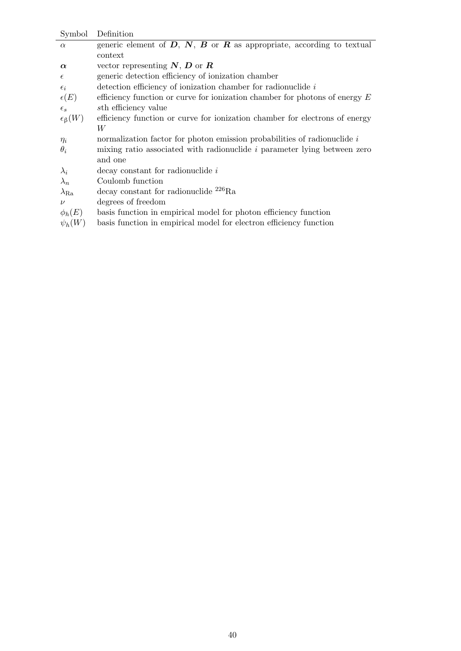| Symbol                | Definition                                                                    |
|-----------------------|-------------------------------------------------------------------------------|
| $\alpha$              | generic element of $D, N, B$ or $R$ as appropriate, according to textual      |
|                       | context                                                                       |
| $\alpha$              | vector representing $N, D$ or $R$                                             |
| $\epsilon$            | generic detection efficiency of ionization chamber                            |
| $\epsilon_i$          | detection efficiency of ionization chamber for radionuclide $i$               |
| $\epsilon(E)$         | efficiency function or curve for ionization chamber for photons of energy $E$ |
| $\epsilon_s$          | sth efficiency value                                                          |
| $\epsilon_{\beta}(W)$ | efficiency function or curve for ionization chamber for electrons of energy   |
|                       | W                                                                             |
| $\eta_i$              | normalization factor for photon emission probabilities of radionuclide $i$    |
| $\theta_i$            | mixing ratio associated with radionuclide $i$ parameter lying between zero    |
|                       | and one                                                                       |
| $\lambda_i$           | decay constant for radionuclide i                                             |
| $\lambda_n$           | Coulomb function                                                              |
| $\lambda_{\rm Ra}$    | decay constant for radionuclide $^{226}Ra$                                    |
| $\nu$                 | degrees of freedom                                                            |
| $\phi_h(E)$           | basis function in empirical model for photon efficiency function              |
| $\psi_h(W)$           | basis function in empirical model for electron efficiency function            |
|                       |                                                                               |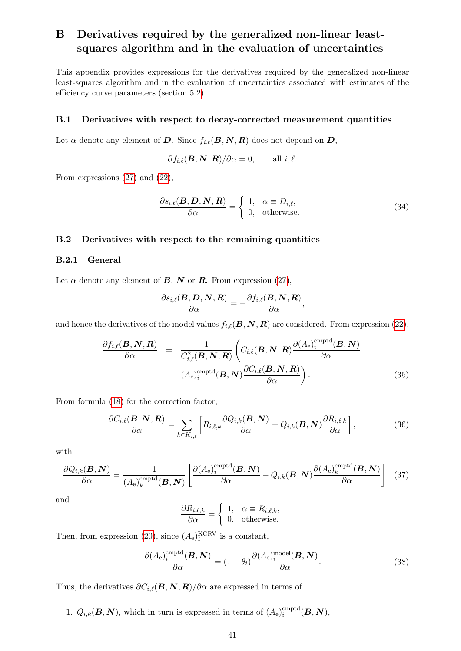# <span id="page-44-0"></span>B Derivatives required by the generalized non-linear leastsquares algorithm and in the evaluation of uncertainties

This appendix provides expressions for the derivatives required by the generalized non-linear least-squares algorithm and in the evaluation of uncertainties associated with estimates of the efficiency curve parameters (section [5.2\)](#page-21-2).

### <span id="page-44-1"></span>B.1 Derivatives with respect to decay-corrected measurement quantities

Let  $\alpha$  denote any element of D. Since  $f_{i,\ell}(B, N, R)$  does not depend on D,

$$
\partial f_{i,\ell}(\mathbf{B},\mathbf{N},\mathbf{R})/\partial\alpha=0,\qquad\text{all $i,\ell$}.
$$

From expressions [\(27\)](#page-21-4) and [\(22\)](#page-18-5),

<span id="page-44-4"></span>
$$
\frac{\partial s_{i,\ell}(\mathbf{B}, \mathbf{D}, \mathbf{N}, \mathbf{R})}{\partial \alpha} = \begin{cases} 1, & \alpha \equiv D_{i,\ell}, \\ 0, & \text{otherwise.} \end{cases}
$$
(34)

### <span id="page-44-2"></span>B.2 Derivatives with respect to the remaining quantities

### <span id="page-44-3"></span>B.2.1 General

Let  $\alpha$  denote any element of **B**, **N** or **R**. From expression [\(27\)](#page-21-4),

$$
\frac{\partial s_{i,\ell}(\boldsymbol B,\boldsymbol D,\boldsymbol N,\boldsymbol R)}{\partial \alpha}=-\frac{\partial f_{i,\ell}(\boldsymbol B,\boldsymbol N,\boldsymbol R)}{\partial \alpha},
$$

and hence the derivatives of the model values  $f_{i,\ell}(\mathbf{B}, \mathbf{N}, \mathbf{R})$  are considered. From expression [\(22\)](#page-18-5),

$$
\frac{\partial f_{i,\ell}(\mathbf{B}, \mathbf{N}, \mathbf{R})}{\partial \alpha} = \frac{1}{C_{i,\ell}^2(\mathbf{B}, \mathbf{N}, \mathbf{R})} \left( C_{i,\ell}(\mathbf{B}, \mathbf{N}, \mathbf{R}) \frac{\partial (A_e)_i^{\text{emptd}}(\mathbf{B}, \mathbf{N})}{\partial \alpha} \right) - (A_e)_i^{\text{emptd}}(\mathbf{B}, \mathbf{N}) \frac{\partial C_{i,\ell}(\mathbf{B}, \mathbf{N}, \mathbf{R})}{\partial \alpha} \right).
$$
\n(35)

From formula [\(18\)](#page-17-5) for the correction factor,

$$
\frac{\partial C_{i,\ell}(\mathbf{B},\mathbf{N},\mathbf{R})}{\partial \alpha} = \sum_{k \in K_{i,\ell}} \left[ R_{i,\ell,k} \frac{\partial Q_{i,k}(\mathbf{B},\mathbf{N})}{\partial \alpha} + Q_{i,k}(\mathbf{B},\mathbf{N}) \frac{\partial R_{i,\ell,k}}{\partial \alpha} \right],
$$
(36)

with

$$
\frac{\partial Q_{i,k}(\mathbf{B},\mathbf{N})}{\partial \alpha} = \frac{1}{(A_{\rm e})_{k}^{\rm{cmptd}}(\mathbf{B},\mathbf{N})} \left[ \frac{\partial (A_{\rm e})_{i}^{\rm{cmptd}}(\mathbf{B},\mathbf{N})}{\partial \alpha} - Q_{i,k}(\mathbf{B},\mathbf{N}) \frac{\partial (A_{\rm e})_{k}^{\rm{cmptd}}(\mathbf{B},\mathbf{N})}{\partial \alpha} \right] \tag{37}
$$

and

$$
\frac{\partial R_{i,\ell,k}}{\partial \alpha} = \begin{cases} 1, & \alpha \equiv R_{i,\ell,k}, \\ 0, & \text{otherwise.} \end{cases}
$$

Then, from expression [\(20\)](#page-18-6), since  $(A_e)_i^{\text{KCRV}}$  is a constant,

$$
\frac{\partial (A_e)_i^{\text{cmptd}}(\mathbf{B}, \mathbf{N})}{\partial \alpha} = (1 - \theta_i) \frac{\partial (A_e)_i^{\text{model}}(\mathbf{B}, \mathbf{N})}{\partial \alpha}.
$$
 (38)

Thus, the derivatives  $\partial C_{i,\ell}(B, N, R)/\partial \alpha$  are expressed in terms of

1.  $Q_{i,k}(\boldsymbol{B},\boldsymbol{N})$ , which in turn is expressed in terms of  $(A_e)^{\text{embed}}_i$  $_{i}^{\operatorname{empty}(}\boldsymbol{B},\boldsymbol{N}),$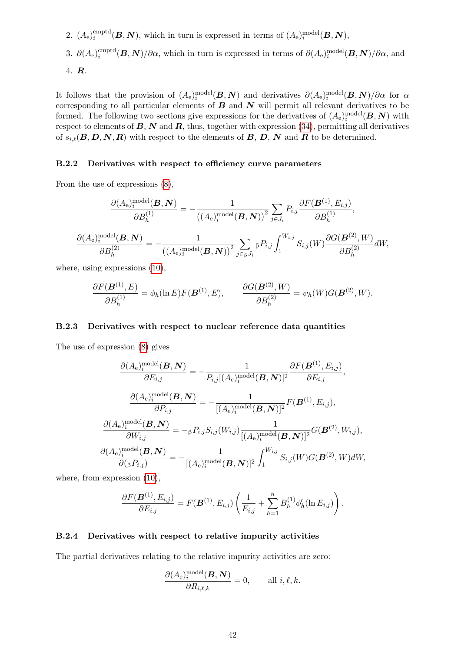- 2.  $(A_e)^{\text{cmptd}}_i$  $i_{i}^{\text{emptd}}(B, N)$ , which in turn is expressed in terms of  $(A_e)_i^{\text{model}}(B, N)$ ,
- 3.  $\partial(A_e)^{\text{cmptd}}_i$  $i_{ij}^{\text{emptd}}(B,N)/\partial\alpha$ , which in turn is expressed in terms of  $\partial(A_{\text{e}})_{i}^{\text{model}}(B,N)/\partial\alpha$ , and

$$
4. \, R.
$$

It follows that the provision of  $(A_e)^{\text{model}}_i(B, N)$  and derivatives  $\partial(A_e)^{\text{model}}_i(B, N)/\partial\alpha$  for  $\alpha$ corresponding to all particular elements of  $B$  and  $N$  will permit all relevant derivatives to be formed. The following two sections give expressions for the derivatives of  $(A_e)^{\text{model}}_i(B, N)$  with respect to elements of  $\mathbf{B}, \mathbf{N}$  and  $\mathbf{R}$ , thus, together with expression [\(34\)](#page-44-4), permitting all derivatives of  $s_{i,\ell}(B, D, N, R)$  with respect to the elements of B, D, N and R to be determined.

#### <span id="page-45-0"></span>B.2.2 Derivatives with respect to efficiency curve parameters

From the use of expressions [\(8\)](#page-15-6),

$$
\frac{\partial (A_{\mathbf{e}})_i^{\text{model}}(\mathbf{B}, \mathbf{N})}{\partial B_h^{(1)}} = -\frac{1}{(\left(A_{\mathbf{e}})_i^{\text{model}}(\mathbf{B}, \mathbf{N})\right)^2} \sum_{j \in J_i} P_{i,j} \frac{\partial F(\mathbf{B}^{(1)}, E_{i,j})}{\partial B_h^{(1)}},
$$
\n
$$
\frac{\partial (A_{\mathbf{e}})_i^{\text{model}}(\mathbf{B}, \mathbf{N})}{\partial B_h^{(2)}} = -\frac{1}{(\left(A_{\mathbf{e}})_i^{\text{model}}(\mathbf{B}, \mathbf{N})\right)^2} \sum_{j \in \mathfrak{g}} P_{i,j} \int_1^{W_{i,j}} S_{i,j}(W) \frac{\partial G(\mathbf{B}^{(2)}, W)}{\partial B_h^{(2)}} dW,
$$

where, using expressions [\(10\)](#page-16-2),

$$
\frac{\partial F(\mathbf{B}^{(1)},E)}{\partial B_h^{(1)}} = \phi_h(\ln E)F(\mathbf{B}^{(1)},E), \qquad \frac{\partial G(\mathbf{B}^{(2)},W)}{\partial B_h^{(2)}} = \psi_h(W)G(\mathbf{B}^{(2)},W).
$$

### <span id="page-45-1"></span>B.2.3 Derivatives with respect to nuclear reference data quantities

The use of expression [\(8\)](#page-15-6) gives

$$
\frac{\partial (A_e)_i^{\text{model}}(\mathbf{B}, \mathbf{N})}{\partial E_{i,j}} = -\frac{1}{P_{i,j}[(A_e)_i^{\text{model}}(\mathbf{B}, \mathbf{N})]^2} \frac{\partial F(\mathbf{B}^{(1)}, E_{i,j})}{\partial E_{i,j}},
$$
\n
$$
\frac{\partial (A_e)_i^{\text{model}}(\mathbf{B}, \mathbf{N})}{\partial P_{i,j}} = -\frac{1}{[(A_e)_i^{\text{model}}(\mathbf{B}, \mathbf{N})]^2} F(\mathbf{B}^{(1)}, E_{i,j}),
$$
\n
$$
\frac{\partial (A_e)_i^{\text{model}}(\mathbf{B}, \mathbf{N})}{\partial W_{i,j}} = -\beta P_{i,j} S_{i,j} (W_{i,j}) \frac{1}{[(A_e)_i^{\text{model}}(\mathbf{B}, \mathbf{N})]^2} G(\mathbf{B}^{(2)}, W_{i,j}),
$$
\n
$$
\frac{\partial (A_e)_i^{\text{model}}(\mathbf{B}, \mathbf{N})}{\partial (\beta P_{i,j})} = -\frac{1}{[(A_e)_i^{\text{model}}(\mathbf{B}, \mathbf{N})]^2} \int_1^{W_{i,j}} S_{i,j}(W) G(\mathbf{B}^{(2)}, W) dW,
$$

where, from expression  $(10)$ ,

$$
\frac{\partial F(\mathbf{B}^{(1)}, E_{i,j})}{\partial E_{i,j}} = F(\mathbf{B}^{(1)}, E_{i,j}) \left( \frac{1}{E_{i,j}} + \sum_{h=1}^n B_h^{(1)} \phi'_h(\ln E_{i,j}) \right).
$$

### <span id="page-45-2"></span>B.2.4 Derivatives with respect to relative impurity activities

The partial derivatives relating to the relative impurity activities are zero:

$$
\frac{\partial (A_{\mathrm{e}})_i^{\mathrm{model}}(\boldsymbol{B},\boldsymbol{N})}{\partial R_{i,\ell,k}}=0,\qquad \text{all }i,\ell,k.
$$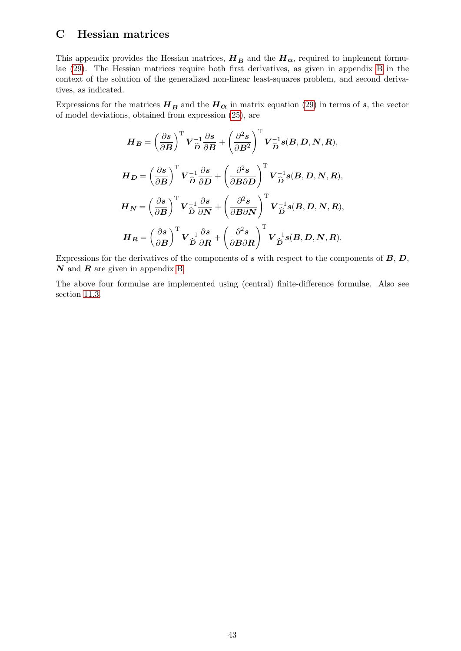# <span id="page-46-0"></span>C Hessian matrices

This appendix provides the Hessian matrices,  $H_B$  and the  $H_{\alpha}$ , required to implement formulae [\(29\)](#page-23-3). The Hessian matrices require both first derivatives, as given in appendix [B](#page-44-0) in the context of the solution of the generalized non-linear least-squares problem, and second derivatives, as indicated.

Expressions for the matrices  $H_B$  and the  $H_{\alpha}$  in matrix equation [\(29\)](#page-23-3) in terms of s, the vector of model deviations, obtained from expression [\(25\)](#page-20-4), are

$$
H_B = \left(\frac{\partial s}{\partial B}\right)^{\mathrm{T}} V_{\hat{D}}^{-1} \frac{\partial s}{\partial B} + \left(\frac{\partial^2 s}{\partial B^2}\right)^{\mathrm{T}} V_{\hat{D}}^{-1} s(B, D, N, R),
$$
  
\n
$$
H_D = \left(\frac{\partial s}{\partial B}\right)^{\mathrm{T}} V_{\hat{D}}^{-1} \frac{\partial s}{\partial D} + \left(\frac{\partial^2 s}{\partial B \partial D}\right)^{\mathrm{T}} V_{\hat{D}}^{-1} s(B, D, N, R),
$$
  
\n
$$
H_N = \left(\frac{\partial s}{\partial B}\right)^{\mathrm{T}} V_{\hat{D}}^{-1} \frac{\partial s}{\partial N} + \left(\frac{\partial^2 s}{\partial B \partial N}\right)^{\mathrm{T}} V_{\hat{D}}^{-1} s(B, D, N, R),
$$
  
\n
$$
H_R = \left(\frac{\partial s}{\partial B}\right)^{\mathrm{T}} V_{\hat{D}}^{-1} \frac{\partial s}{\partial R} + \left(\frac{\partial^2 s}{\partial B \partial R}\right)^{\mathrm{T}} V_{\hat{D}}^{-1} s(B, D, N, R).
$$

Expressions for the derivatives of the components of  $s$  with respect to the components of  $B, D$ ,  $N$  and  $R$  are given in appendix [B.](#page-44-0)

The above four formulae are implemented using (central) finite-difference formulae. Also see section [11.3.](#page-35-3)